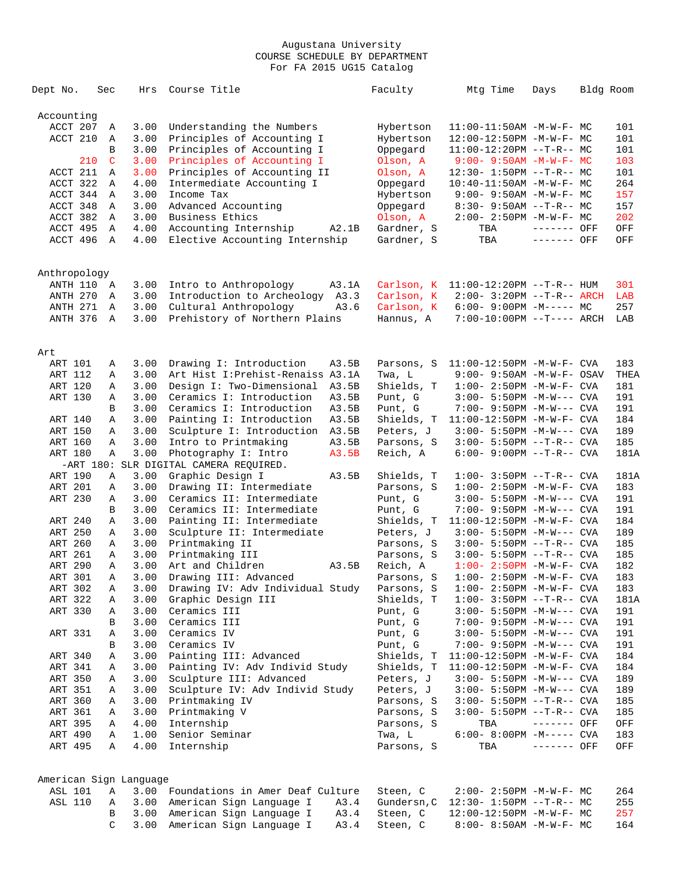| Dept No.       |     | Sec          | Hrs                    | Course Title                           | Faculty     | Mtg Time                                               | Days        | Bldg Room |      |
|----------------|-----|--------------|------------------------|----------------------------------------|-------------|--------------------------------------------------------|-------------|-----------|------|
| Accounting     |     |              |                        |                                        |             |                                                        |             |           |      |
| ACCT 207       |     | Α            | 3.00                   | Understanding the Numbers              | Hybertson   | $11:00-11:50AM$ -M-W-F- MC                             |             |           | 101  |
| ACCT 210       |     | Α            | 3.00                   | Principles of Accounting I             | Hybertson   | 12:00-12:50PM -M-W-F- MC                               |             |           | 101  |
|                |     | B            | 3.00                   | Principles of Accounting I             | Oppegard    | $11:00-12:20PM$ --T-R-- MC                             |             |           | 101  |
|                | 210 | C            | 3.00                   | Principles of Accounting I             | Olson, A    | $9:00 - 9:50AM - M-W-F - MC$                           |             |           | 103  |
| ACCT 211       |     | $\mathbb{A}$ | 3.00                   | Principles of Accounting II            | Olson, A    | $12:30 - 1:50PM -T-R--MC$                              |             |           | 101  |
| ACCT 322       |     | Α            | 4.00                   | Intermediate Accounting I              | Oppegard    | $10:40 - 11:50AM$ -M-W-F- MC                           |             |           | 264  |
| ACCT 344       |     | Α            | 3.00                   | Income Tax                             | Hybertson   | $9:00 - 9:50AM - M - W - F - MC$                       |             |           | 157  |
| ACCT 348       |     | Α            | 3.00                   | Advanced Accounting                    | Oppegard    | $8:30 - 9:50AM -T-R-- MC$                              |             |           | 157  |
| ACCT 382       |     | Α            | 3.00                   | Business Ethics                        | Olson, A    | 2:00- 2:50PM -M-W-F- MC                                |             |           | 202  |
| ACCT 495       |     | Α            | 4.00                   | Accounting Internship<br>A2.1B         | Gardner, S  | TBA                                                    | ------- OFF |           | OFF  |
| ACCT 496       |     | A            | 4.00                   | Elective Accounting Internship         | Gardner, S  | TBA                                                    | ------- OFF |           | OFF  |
| Anthropology   |     |              |                        |                                        |             |                                                        |             |           |      |
| ANTH 110       |     | A            | 3.00                   | Intro to Anthropology<br>A3.1A         | Carlson, K  | $11:00-12:20PM$ --T-R-- HUM                            |             |           | 301  |
| ANTH 270       |     | Α            | 3.00                   | Introduction to Archeology A3.3        | Carlson, K  | $2:00 - 3:20PM -T-R-- ARCH$                            |             |           | LAB  |
| ANTH 271       |     | Α            | 3.00                   | Cultural Anthropology<br>A3.6          | Carlson, K  | $6:00-9:00PM -M--- MC$                                 |             |           | 257  |
| ANTH 376       |     | A            | 3.00                   | Prehistory of Northern Plains          | Hannus, A   | $7:00-10:00PM$ --T---- ARCH                            |             |           | LAB  |
| Art            |     |              |                        |                                        |             |                                                        |             |           |      |
| ART 101        |     | Α            | 3.00                   | A3.5B<br>Drawing I: Introduction       | Parsons, S  | $11:00-12:50PM -M-W-F-CVA$                             |             |           | 183  |
| ART 112        |     | Α            | 3.00                   | Art Hist I: Prehist-Renaiss A3.1A      | Twa, L      | $9:00 - 9:50AM - M - W - F - OSAV$                     |             |           | THEA |
| ART 120        |     | Α            | 3.00                   | Design I: Two-Dimensional<br>A3.5B     | Shields, T  | $1:00 - 2:50PM -M-W-F-CVA$                             |             |           | 181  |
| ART 130        |     | Α            | 3.00                   | Ceramics I: Introduction<br>A3.5B      | Punt, G     | $3:00 - 5:50PM -M-W---$ CVA                            |             |           | 191  |
|                |     | B            | 3.00                   | Ceramics I: Introduction<br>A3.5B      | Punt, G     | 7:00- 9:50PM -M-W--- CVA                               |             |           | 191  |
| ART 140        |     | Α            | 3.00                   | Painting I: Introduction<br>A3.5B      | Shields, T  | $11:00-12:50PM -M-W-F-CVA$                             |             |           | 184  |
| ART 150        |     | Α            | 3.00                   | Sculpture I: Introduction<br>A3.5B     | Peters, J   | $3:00 - 5:50PM -M-W---$ CVA                            |             |           | 189  |
| ART 160        |     | Α            | 3.00                   | Intro to Printmaking<br>A3.5B          | Parsons, S  | 3:00- 5:50PM --T-R-- CVA                               |             |           | 185  |
| ART 180        |     | Α            | 3.00                   | Photography I: Intro<br>A3.5B          | Reich, A    | 6:00- 9:00PM --T-R-- CVA                               |             |           | 181A |
|                |     |              |                        | -ART 180: SLR DIGITAL CAMERA REQUIRED. |             |                                                        |             |           |      |
| ART 190        |     | Α            | 3.00                   | Graphic Design I<br>A3.5B              | Shields, T  | $1:00 - 3:50PM -T-R--CVA$                              |             |           | 181A |
| ART 201        |     | Α            | 3.00                   | Drawing II: Intermediate               | Parsons, S  | $1:00 - 2:50PM - M - W - F - CVA$                      |             |           | 183  |
| ART 230        |     | Α            | 3.00                   | Ceramics II: Intermediate              | Punt, G     | $3:00 - 5:50PM -M-W---$ CVA                            |             |           | 191  |
|                |     | В            | 3.00                   | Ceramics II: Intermediate              | Punt, G     | 7:00- 9:50PM -M-W--- CVA                               |             |           | 191  |
| ART 240        |     | Α            | 3.00                   | Painting II: Intermediate              | Shields, T  | $11:00-12:50PM -M-W-F-CVA$                             |             |           | 184  |
| ART 250        |     | Α            | 3.00                   | Sculpture II: Intermediate             | Peters, J   | $3:00 - 5:50PM -M-W---$ CVA                            |             |           | 189  |
| ART 260        |     | Α            | 3.00                   | Printmaking II                         | Parsons, S  | $3:00 - 5:50PM -T-R--CVA$                              |             |           | 185  |
| ART 261        |     | Α            | 3.00                   | Printmaking III                        | Parsons, S  | $3:00 - 5:50PM -T-R--CVA$                              |             |           | 185  |
| ART 290        |     | Α            | 3.00                   | Art and Children<br>A3.5B              | Reich, A    | $1:00 - 2:50PM - M - W - F - CVA$                      |             |           | 182  |
| <b>ART 301</b> |     | A            | 3.00                   | Drawing III: Advanced                  | Parsons, S  | $1:00 - 2:50PM -M-W-F-CVA$                             |             |           | 183  |
| ART 302        |     | Α            | 3.00                   | Drawing IV: Adv Individual Study       | Parsons, S  | $1:00 - 2:50PM -M-W-F - CVA$                           |             |           | 183  |
| ART 322        |     | Α            | 3.00                   | Graphic Design III                     | Shields, T  | $1:00-3:50PM -T-R--CVA$                                |             |           | 181A |
| ART 330        |     | Α            | 3.00                   | Ceramics III                           | Punt, G     | 3:00- 5:50PM -M-W--- CVA                               |             |           | 191  |
|                |     | В            | 3.00                   | Ceramics III                           | Punt, G     | 7:00- 9:50PM -M-W--- CVA                               |             |           | 191  |
| ART 331        |     | Α            | 3.00                   | Ceramics IV                            | Punt, G     | 3:00- 5:50PM -M-W--- CVA                               |             |           | 191  |
|                |     | В            | 3.00                   | Ceramics IV                            | Punt, G     | 7:00- 9:50PM -M-W--- CVA                               |             |           | 191  |
| ART 340        |     | Α            | 3.00                   | Painting III: Advanced                 | Shields, T  | $11:00-12:50PM -M-W-F-CVA$                             |             |           | 184  |
| ART 341        |     | Α            | 3.00                   | Painting IV: Adv Individ Study         | Shields, T  | $11:00-12:50PM$ -M-W-F- CVA                            |             |           | 184  |
| ART 350        |     | Α            | 3.00                   | Sculpture III: Advanced                | Peters, J   | $3:00 - 5:50PM -M-W---$ CVA                            |             |           | 189  |
| ART 351        |     | Α            | 3.00                   | Sculpture IV: Adv Individ Study        | Peters, J   | 3:00- 5:50PM -M-W--- CVA                               |             |           | 189  |
| ART 360        |     | Α            | 3.00                   | Printmaking IV                         | Parsons, S  | 3:00- 5:50PM --T-R-- CVA                               |             |           | 185  |
| ART 361        |     | Α            | 3.00                   | Printmaking V                          | Parsons, S  | 3:00- 5:50PM --T-R-- CVA                               |             |           | 185  |
| ART 395        |     | Α            | 4.00                   | Internship                             | Parsons, S  | TBA                                                    | ------- OFF |           | OFF  |
| ART 490        |     | Α            | 1.00                   | Senior Seminar                         | Twa, L      | $6:00-8:00PM$ -M----- CVA                              |             |           | 183  |
| ART 495        |     | Α            | 4.00                   | Internship                             | Parsons, S  | TBA                                                    | ------- OFF |           | OFF  |
|                |     |              | American Sign Language |                                        |             |                                                        |             |           |      |
| <b>ASL 101</b> |     | Α            | 3.00                   | Foundations in Amer Deaf Culture       | Steen, C    | 2:00- 2:50PM -M-W-F- MC                                |             |           | 264  |
| <b>ASL 110</b> |     |              | 3.00                   | American Sign Language I<br>A3.4       | Gundersn, C |                                                        |             |           | 255  |
|                |     | Α<br>В       | 3.00                   | American Sign Language I<br>A3.4       | Steen, C    | $12:30 - 1:50PM -T-R-- MC$<br>12:00-12:50PM -M-W-F- MC |             |           | 257  |
|                |     | C            | 3.00                   | American Sign Language I<br>A3.4       | Steen, C    | 8:00- 8:50AM -M-W-F- MC                                |             |           | 164  |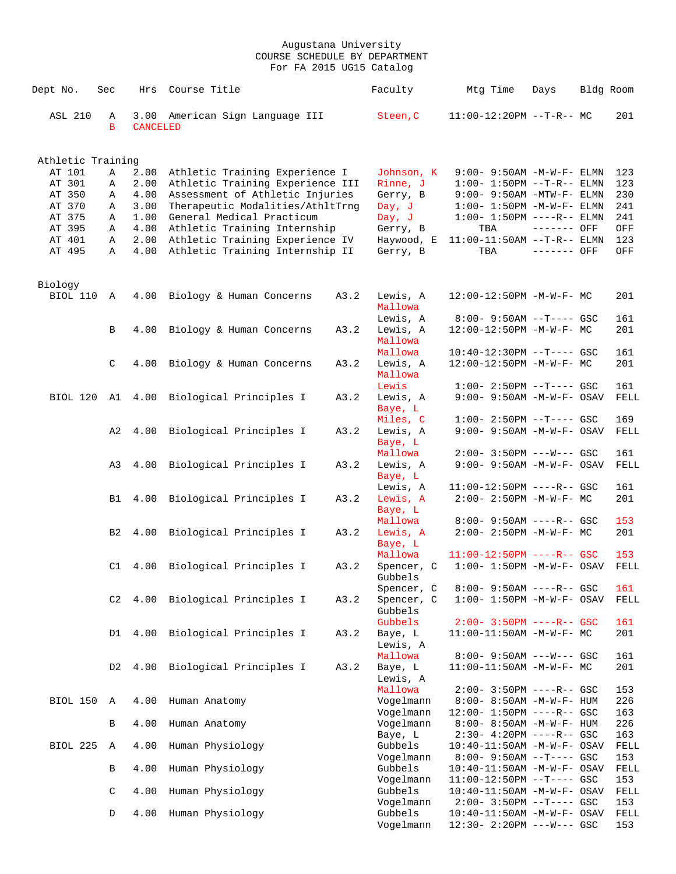| Dept No.          | Sec            | Hrs                     | Course Title                     |      | Faculty              | Mtg Time                                               | Days        | Bldg Room   |
|-------------------|----------------|-------------------------|----------------------------------|------|----------------------|--------------------------------------------------------|-------------|-------------|
| <b>ASL 210</b>    | Α<br>B         | 3.00<br><b>CANCELED</b> | American Sign Language III       |      | Steen, C             | $11:00-12:20PM$ --T-R-- MC                             |             | 201         |
| Athletic Training |                |                         |                                  |      |                      |                                                        |             |             |
| AT 101            | Α              | 2.00                    | Athletic Training Experience I   |      | Johnson, K           | 9:00- 9:50AM -M-W-F- ELMN                              |             | 123         |
| AT 301            | Α              | 2.00                    | Athletic Training Experience III |      | Rinne, J             | $1:00 - 1:50PM -T-R-- ELMN$                            |             | 123         |
| AT 350            | Α              | 4.00                    | Assessment of Athletic Injuries  |      | Gerry, B             | $9:00 - 9:50AM - MTW-F - ELMN$                         |             | 230         |
| AT 370            | Α              | 3.00                    | Therapeutic Modalities/AthltTrng |      | Day, J               | $1:00-1:50PM -M-W-F-ELMN$                              |             | 241         |
| AT 375            | Α              | 1.00                    | General Medical Practicum        |      | Day, J               | $1:00 - 1:50PM$ ----R-- ELMN                           |             | 241         |
| AT 395            | Α              | 4.00                    | Athletic Training Internship     |      | Gerry, B             | TBA                                                    | ------- OFF | OFF         |
| AT 401            | Α              | 2.00                    | Athletic Training Experience IV  |      | Haywood, E           | 11:00-11:50AM --T-R-- ELMN                             |             | 123         |
| AT 495            | Α              | 4.00                    | Athletic Training Internship II  |      | Gerry, B             | TBA                                                    | ------- OFF | OFF         |
| Biology           |                |                         |                                  |      |                      |                                                        |             |             |
| BIOL 110          | $\mathbb{A}$   | 4.00                    | Biology & Human Concerns         | A3.2 | Lewis, A             | 12:00-12:50PM -M-W-F- MC                               |             | 201         |
|                   |                |                         |                                  |      | Mallowa              |                                                        |             |             |
|                   |                |                         |                                  |      | Lewis, A             | $8:00 - 9:50AM -T--- GSC$                              |             | 161         |
|                   | B              | 4.00                    | Biology & Human Concerns         | A3.2 | Lewis, A             | $12:00-12:50PM -M-W-F-MC$                              |             | 201         |
|                   |                |                         |                                  |      | Mallowa              |                                                        |             |             |
|                   |                |                         |                                  |      | Mallowa              | 10:40-12:30PM --T---- GSC                              |             | 161         |
|                   | C              | 4.00                    | Biology & Human Concerns         | A3.2 | Lewis, A             | 12:00-12:50PM -M-W-F- MC                               |             | 201         |
|                   |                |                         |                                  |      | Mallowa              |                                                        |             |             |
|                   |                |                         |                                  |      | Lewis                | $1:00-2:50PM --T---GSC$                                |             | 161         |
| <b>BIOL 120</b>   |                | A1 4.00                 | Biological Principles I          | A3.2 | Lewis, A             | $9:00 - 9:50AM - M - W - F - OSAV$                     |             | FELL        |
|                   |                |                         |                                  |      | Baye, L              |                                                        |             |             |
|                   | A2             | 4.00                    | Biological Principles I          | A3.2 | Miles, C<br>Lewis, A | $1:00-2:50PM$ --T---- GSC<br>9:00- 9:50AM -M-W-F- OSAV |             | 169<br>FELL |
|                   |                |                         |                                  |      | Baye, L              |                                                        |             |             |
|                   |                |                         |                                  |      | Mallowa              | $2:00 - 3:50PM$ ---W--- GSC                            |             | 161         |
|                   | A3             | 4.00                    | Biological Principles I          | A3.2 | Lewis, A             | $9:00 - 9:50AM - M - W - F - OSAV$                     |             | FELL        |
|                   |                |                         |                                  |      | Baye, L              |                                                        |             |             |
|                   |                |                         |                                  |      | Lewis, A             | $11:00-12:50PM$ ----R-- GSC                            |             | 161         |
|                   | B1             | 4.00                    | Biological Principles I          | A3.2 | Lewis, A             | $2:00-2:50PM -M-W-F-MC$                                |             | 201         |
|                   |                |                         |                                  |      | Baye, L              |                                                        |             |             |
|                   |                |                         |                                  |      | Mallowa              | $8:00 - 9:50AM$ ----R-- GSC                            |             | 153         |
|                   | B <sub>2</sub> | 4.00                    | Biological Principles I          | A3.2 | Lewis, A             | $2:00 - 2:50PM -M-W-F - MC$                            |             | 201         |
|                   |                |                         |                                  |      | Baye, L<br>Mallowa   | $11:00-12:50PM$ ----R-- GSC                            |             | 153         |
|                   |                |                         | C1 4.00 Biological Principles I  | A3.2 | Spencer, C           | $1:00 - 1:50PM - M - W - F - OSAV$                     |             | FELL        |
|                   |                |                         |                                  |      | Gubbels              |                                                        |             |             |
|                   |                |                         |                                  |      | Spencer, C           | $8:00 - 9:50AM$ ----R-- GSC                            |             | 161         |
|                   | C2             |                         | 4.00 Biological Principles I     | A3.2 | Spencer, C           | $1:00 - 1:50PM -M-W-F - OSAV$                          |             | FELL        |
|                   |                |                         |                                  |      | Gubbels              |                                                        |             |             |
|                   |                |                         |                                  |      | Gubbels              | $2:00 - 3:50PM$ ----R-- GSC                            |             | 161         |
|                   | D1             | 4.00                    | Biological Principles I          | A3.2 | Baye, L              | 11:00-11:50AM -M-W-F- MC                               |             | 201         |
|                   |                |                         |                                  |      | Lewis, A             |                                                        |             |             |
|                   |                |                         |                                  |      | Mallowa              | $8:00 - 9:50AM$ ---W--- GSC                            |             | 161         |
|                   | D2             | 4.00                    | Biological Principles I          | A3.2 | Baye, L<br>Lewis, A  | 11:00-11:50AM -M-W-F- MC                               |             | 201         |
|                   |                |                         |                                  |      | Mallowa              | $2:00 - 3:50PM$ ----R-- GSC                            |             | 153         |
| BIOL 150          | Α              | 4.00                    | Human Anatomy                    |      | Vogelmann            | 8:00- 8:50AM -M-W-F- HUM                               |             | 226         |
|                   |                |                         |                                  |      | Vogelmann            | $12:00 - 1:50PM$ ----R-- GSC                           |             | 163         |
|                   | В              | 4.00                    | Human Anatomy                    |      | Vogelmann            | $8:00 - 8:50AM - M - W - F - HUM$                      |             | 226         |
|                   |                |                         |                                  |      | Baye, L              | 2:30- 4:20PM ----R-- GSC                               |             | 163         |
| BIOL 225          | Α              | 4.00                    | Human Physiology                 |      | Gubbels              | $10:40-11:50AM$ -M-W-F- OSAV                           |             | FELL        |
|                   |                |                         |                                  |      | Vogelmann            | $8:00 - 9:50AM -T--- GSC$                              |             | 153         |
|                   | В              | 4.00                    | Human Physiology                 |      | Gubbels              | $10:40-11:50AM$ -M-W-F- OSAV                           |             | FELL        |
|                   |                |                         |                                  |      | Vogelmann            | $11:00-12:50PM$ --T---- GSC                            |             | 153         |
|                   | $\mathsf C$    | 4.00                    | Human Physiology                 |      | Gubbels              | $10:40-11:50AM$ -M-W-F- OSAV                           |             | FELL        |
|                   | D              | 4.00                    | Human Physiology                 |      | Vogelmann<br>Gubbels | $2:00-3:50PM -T---GSC$<br>10:40-11:50AM -M-W-F- OSAV   |             | 153<br>FELL |
|                   |                |                         |                                  |      | Vogelmann            | $12:30 - 2:20PM$ ---W--- GSC                           |             | 153         |
|                   |                |                         |                                  |      |                      |                                                        |             |             |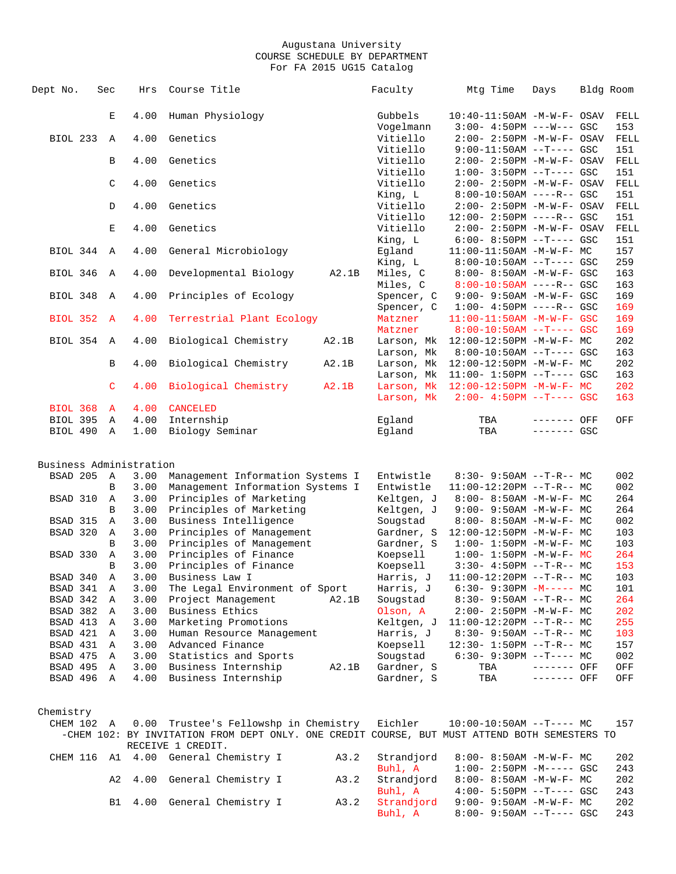| Dept No.                                                                                                                                       | Sec                                                                               | Hrs                                                                                                                          | Course Title                                                                                                                                                                                                                                                                                                                                                                                                                        |       | Faculty                                                                                                                                                                                                     | Mtg Time                                                                                                                                                                                                                                                                                                                                                                                                                                                                                           | Days         | Bldg Room                                                                                                    |
|------------------------------------------------------------------------------------------------------------------------------------------------|-----------------------------------------------------------------------------------|------------------------------------------------------------------------------------------------------------------------------|-------------------------------------------------------------------------------------------------------------------------------------------------------------------------------------------------------------------------------------------------------------------------------------------------------------------------------------------------------------------------------------------------------------------------------------|-------|-------------------------------------------------------------------------------------------------------------------------------------------------------------------------------------------------------------|----------------------------------------------------------------------------------------------------------------------------------------------------------------------------------------------------------------------------------------------------------------------------------------------------------------------------------------------------------------------------------------------------------------------------------------------------------------------------------------------------|--------------|--------------------------------------------------------------------------------------------------------------|
|                                                                                                                                                | E                                                                                 | 4.00                                                                                                                         | Human Physiology                                                                                                                                                                                                                                                                                                                                                                                                                    |       | Gubbels                                                                                                                                                                                                     | $10:40-11:50AM$ -M-W-F- OSAV                                                                                                                                                                                                                                                                                                                                                                                                                                                                       |              | FELL                                                                                                         |
|                                                                                                                                                |                                                                                   |                                                                                                                              |                                                                                                                                                                                                                                                                                                                                                                                                                                     |       | Vogelmann                                                                                                                                                                                                   | $3:00-4:50PM$ ---W--- GSC                                                                                                                                                                                                                                                                                                                                                                                                                                                                          |              | 153                                                                                                          |
| <b>BIOL 233</b>                                                                                                                                | $\mathbb{A}$                                                                      | 4.00                                                                                                                         | Genetics                                                                                                                                                                                                                                                                                                                                                                                                                            |       | Vitiello                                                                                                                                                                                                    | 2:00- 2:50PM -M-W-F- OSAV                                                                                                                                                                                                                                                                                                                                                                                                                                                                          |              | FELL                                                                                                         |
|                                                                                                                                                |                                                                                   |                                                                                                                              |                                                                                                                                                                                                                                                                                                                                                                                                                                     |       | Vitiello                                                                                                                                                                                                    | $9:00-11:50AM$ --T---- GSC                                                                                                                                                                                                                                                                                                                                                                                                                                                                         |              | 151                                                                                                          |
|                                                                                                                                                | B                                                                                 | 4.00                                                                                                                         | Genetics                                                                                                                                                                                                                                                                                                                                                                                                                            |       | Vitiello                                                                                                                                                                                                    | 2:00- 2:50PM -M-W-F- OSAV                                                                                                                                                                                                                                                                                                                                                                                                                                                                          |              | FELL                                                                                                         |
|                                                                                                                                                |                                                                                   |                                                                                                                              |                                                                                                                                                                                                                                                                                                                                                                                                                                     |       | Vitiello                                                                                                                                                                                                    | $1:00-3:50PM -T---GSC$                                                                                                                                                                                                                                                                                                                                                                                                                                                                             |              | 151                                                                                                          |
|                                                                                                                                                | $\mathsf C$                                                                       | 4.00                                                                                                                         | Genetics                                                                                                                                                                                                                                                                                                                                                                                                                            |       | Vitiello                                                                                                                                                                                                    | 2:00- 2:50PM -M-W-F- OSAV                                                                                                                                                                                                                                                                                                                                                                                                                                                                          |              | FELL                                                                                                         |
|                                                                                                                                                |                                                                                   |                                                                                                                              |                                                                                                                                                                                                                                                                                                                                                                                                                                     |       | King, L                                                                                                                                                                                                     | $8:00-10:50AM$ ----R-- GSC                                                                                                                                                                                                                                                                                                                                                                                                                                                                         |              | 151                                                                                                          |
|                                                                                                                                                | D                                                                                 | 4.00                                                                                                                         | Genetics                                                                                                                                                                                                                                                                                                                                                                                                                            |       | Vitiello                                                                                                                                                                                                    | $2:00 - 2:50PM -M-W-F - OSAV$                                                                                                                                                                                                                                                                                                                                                                                                                                                                      |              | FELL                                                                                                         |
|                                                                                                                                                |                                                                                   |                                                                                                                              |                                                                                                                                                                                                                                                                                                                                                                                                                                     |       | Vitiello                                                                                                                                                                                                    | $12:00 - 2:50PM$ ----R-- GSC                                                                                                                                                                                                                                                                                                                                                                                                                                                                       |              | 151                                                                                                          |
|                                                                                                                                                | $\mathbf E$                                                                       | 4.00                                                                                                                         | Genetics                                                                                                                                                                                                                                                                                                                                                                                                                            |       | Vitiello                                                                                                                                                                                                    | $2:00 - 2:50PM -M-W-F-OSAV$                                                                                                                                                                                                                                                                                                                                                                                                                                                                        |              | FELL                                                                                                         |
|                                                                                                                                                |                                                                                   |                                                                                                                              |                                                                                                                                                                                                                                                                                                                                                                                                                                     |       | King, L                                                                                                                                                                                                     | $6:00 - 8:50PM -T--- GSC$                                                                                                                                                                                                                                                                                                                                                                                                                                                                          |              | 151                                                                                                          |
| BIOL 344                                                                                                                                       | $\mathbb{A}$                                                                      | 4.00                                                                                                                         | General Microbiology                                                                                                                                                                                                                                                                                                                                                                                                                |       | Egland                                                                                                                                                                                                      | $11:00-11:50AM$ -M-W-F- MC                                                                                                                                                                                                                                                                                                                                                                                                                                                                         |              | 157                                                                                                          |
|                                                                                                                                                |                                                                                   |                                                                                                                              |                                                                                                                                                                                                                                                                                                                                                                                                                                     |       | King, L                                                                                                                                                                                                     | $8:00-10:50AM$ --T---- GSC                                                                                                                                                                                                                                                                                                                                                                                                                                                                         |              | 259                                                                                                          |
| BIOL 346                                                                                                                                       | Α                                                                                 | 4.00                                                                                                                         | Developmental Biology                                                                                                                                                                                                                                                                                                                                                                                                               | A2.1B | Miles, C                                                                                                                                                                                                    | $8:00 - 8:50AM$ -M-W-F- GSC                                                                                                                                                                                                                                                                                                                                                                                                                                                                        |              | 163                                                                                                          |
|                                                                                                                                                |                                                                                   |                                                                                                                              |                                                                                                                                                                                                                                                                                                                                                                                                                                     |       | Miles, C                                                                                                                                                                                                    |                                                                                                                                                                                                                                                                                                                                                                                                                                                                                                    |              | 163                                                                                                          |
|                                                                                                                                                |                                                                                   |                                                                                                                              |                                                                                                                                                                                                                                                                                                                                                                                                                                     |       |                                                                                                                                                                                                             | $8:00-10:50AM$ ----R-- GSC                                                                                                                                                                                                                                                                                                                                                                                                                                                                         |              |                                                                                                              |
| BIOL 348                                                                                                                                       | Α                                                                                 | 4.00                                                                                                                         | Principles of Ecology                                                                                                                                                                                                                                                                                                                                                                                                               |       | Spencer, C                                                                                                                                                                                                  | $9:00 - 9:50AM - M - W - F - GSC$                                                                                                                                                                                                                                                                                                                                                                                                                                                                  |              | 169                                                                                                          |
|                                                                                                                                                |                                                                                   |                                                                                                                              |                                                                                                                                                                                                                                                                                                                                                                                                                                     |       | Spencer, C                                                                                                                                                                                                  | $1:00-4:50PM$ ----R-- GSC                                                                                                                                                                                                                                                                                                                                                                                                                                                                          |              | 169                                                                                                          |
| <b>BIOL 352</b>                                                                                                                                | A                                                                                 | 4.00                                                                                                                         | Terrestrial Plant Ecology                                                                                                                                                                                                                                                                                                                                                                                                           |       | Matzner                                                                                                                                                                                                     | 11:00-11:50AM -M-W-F- GSC                                                                                                                                                                                                                                                                                                                                                                                                                                                                          |              | 169                                                                                                          |
|                                                                                                                                                |                                                                                   |                                                                                                                              |                                                                                                                                                                                                                                                                                                                                                                                                                                     |       | Matzner                                                                                                                                                                                                     | $8:00-10:50AM$ --T---- GSC                                                                                                                                                                                                                                                                                                                                                                                                                                                                         |              | 169                                                                                                          |
| BIOL 354                                                                                                                                       | A                                                                                 | 4.00                                                                                                                         | Biological Chemistry                                                                                                                                                                                                                                                                                                                                                                                                                | A2.1B | Larson, Mk                                                                                                                                                                                                  | 12:00-12:50PM -M-W-F- MC                                                                                                                                                                                                                                                                                                                                                                                                                                                                           |              | 202                                                                                                          |
|                                                                                                                                                |                                                                                   |                                                                                                                              |                                                                                                                                                                                                                                                                                                                                                                                                                                     |       | Larson, Mk                                                                                                                                                                                                  | $8:00-10:50AM$ --T---- GSC                                                                                                                                                                                                                                                                                                                                                                                                                                                                         |              | 163                                                                                                          |
|                                                                                                                                                | В                                                                                 | 4.00                                                                                                                         | Biological Chemistry                                                                                                                                                                                                                                                                                                                                                                                                                | A2.1B | Larson, Mk                                                                                                                                                                                                  | 12:00-12:50PM -M-W-F- MC                                                                                                                                                                                                                                                                                                                                                                                                                                                                           |              | 202                                                                                                          |
|                                                                                                                                                |                                                                                   |                                                                                                                              |                                                                                                                                                                                                                                                                                                                                                                                                                                     |       | Larson, Mk                                                                                                                                                                                                  | $11:00 - 1:50PM -T--- GSC$                                                                                                                                                                                                                                                                                                                                                                                                                                                                         |              | 163                                                                                                          |
|                                                                                                                                                | $\mathsf{C}$                                                                      | 4.00                                                                                                                         | Biological Chemistry                                                                                                                                                                                                                                                                                                                                                                                                                | A2.1B |                                                                                                                                                                                                             | Larson, Mk 12:00-12:50PM -M-W-F- MC                                                                                                                                                                                                                                                                                                                                                                                                                                                                |              | 202                                                                                                          |
|                                                                                                                                                |                                                                                   |                                                                                                                              |                                                                                                                                                                                                                                                                                                                                                                                                                                     |       | Larson, Mk                                                                                                                                                                                                  | $2:00 - 4:50PM$ --T---- GSC                                                                                                                                                                                                                                                                                                                                                                                                                                                                        |              | 163                                                                                                          |
| <b>BIOL 368</b>                                                                                                                                | $\mathbf{A}$                                                                      | 4.00                                                                                                                         | <b>CANCELED</b>                                                                                                                                                                                                                                                                                                                                                                                                                     |       |                                                                                                                                                                                                             |                                                                                                                                                                                                                                                                                                                                                                                                                                                                                                    |              |                                                                                                              |
| BIOL 395 A                                                                                                                                     |                                                                                   | 4.00                                                                                                                         | Internship                                                                                                                                                                                                                                                                                                                                                                                                                          |       | Eqland                                                                                                                                                                                                      | TBA                                                                                                                                                                                                                                                                                                                                                                                                                                                                                                | ------- OFF  | OFF                                                                                                          |
| BIOL 490                                                                                                                                       | Α                                                                                 | 1.00                                                                                                                         | Biology Seminar                                                                                                                                                                                                                                                                                                                                                                                                                     |       | Eqland                                                                                                                                                                                                      | TBA                                                                                                                                                                                                                                                                                                                                                                                                                                                                                                | $------ GSC$ |                                                                                                              |
| BSAD 205<br>BSAD 310<br>BSAD 315<br>BSAD 320<br>BSAD 330<br>BSAD 340<br>BSAD 341<br>BSAD 342<br>BSAD 382 A<br>BSAD 413<br>BSAD 421<br>BSAD 431 | A<br>B<br>Α<br>B<br>Α<br>A<br>B<br>$\mathbb A$<br>B<br>Α<br>Α<br>Α<br>Α<br>A<br>A | 3.00<br>3.00<br>3.00<br>3.00<br>3.00<br>3.00<br>3.00<br>3.00<br>3.00<br>3.00<br>3.00<br>3.00<br>3.00<br>3.00<br>3.00<br>3.00 | Management Information Systems I<br>Management Information Systems I<br>Principles of Marketing<br>Principles of Marketing<br>Business Intelligence<br>Principles of Management<br>Principles of Management<br>Principles of Finance<br>Principles of Finance<br>Business Law I<br>The Legal Environment of Sport<br>Project Management<br>Business Ethics<br>Marketing Promotions<br>Human Resource Management<br>Advanced Finance | A2.1B | Entwistle<br>Entwistle<br>Keltgen, J<br>Keltgen, J<br>Sougstad<br>Gardner, S<br>Gardner, S<br>Koepsell<br>Koepsell<br>Harris, J<br>Harris, J<br>Sougstad<br>Olson, A<br>Keltgen, J<br>Harris, J<br>Koepsell | $8:30 - 9:50AM -T-R-- MC$<br>$11:00-12:20PM$ --T-R-- MC<br>$8:00 - 8:50AM - M - W - F - MC$<br>$9:00 - 9:50AM - M - W - F - MC$<br>8:00- 8:50AM -M-W-F- MC<br>12:00-12:50PM -M-W-F- MC<br>$1:00 - 1:50PM - M - W - F - MC$<br>$1:00 - 1:50PM - M - W - F - MC$<br>$3:30-4:50PM -T-R--MC$<br>$11:00-12:20PM$ --T-R-- MC<br>$6:30 - 9:30PM -M--- MC$<br>$8:30 - 9:50AM -T-R-- MC$<br>$2:00-2:50PM -M-W-F-MC$<br>$11:00-12:20PM$ --T-R-- MC<br>$8:30 - 9:50AM -T-R-- MC$<br>$12:30 - 1:50PM -T-R--MC$ |              | 002<br>002<br>264<br>264<br>002<br>103<br>103<br>264<br>153<br>103<br>101<br>264<br>202<br>255<br>103<br>157 |
| BSAD 475                                                                                                                                       | Α                                                                                 | 3.00                                                                                                                         | Statistics and Sports                                                                                                                                                                                                                                                                                                                                                                                                               |       | Sougstad                                                                                                                                                                                                    | $6:30-9:30PM --T---MC$                                                                                                                                                                                                                                                                                                                                                                                                                                                                             |              | 002                                                                                                          |
| BSAD 495 A                                                                                                                                     |                                                                                   | 3.00                                                                                                                         | Business Internship                                                                                                                                                                                                                                                                                                                                                                                                                 | A2.1B | Gardner, S                                                                                                                                                                                                  | TBA                                                                                                                                                                                                                                                                                                                                                                                                                                                                                                | ------- OFF  | OFF                                                                                                          |
| BSAD 496 A                                                                                                                                     |                                                                                   | 4.00                                                                                                                         | Business Internship                                                                                                                                                                                                                                                                                                                                                                                                                 |       | Gardner, S                                                                                                                                                                                                  | TBA                                                                                                                                                                                                                                                                                                                                                                                                                                                                                                | ------- OFF  | OFF                                                                                                          |
| Chemistry                                                                                                                                      |                                                                                   |                                                                                                                              |                                                                                                                                                                                                                                                                                                                                                                                                                                     |       |                                                                                                                                                                                                             |                                                                                                                                                                                                                                                                                                                                                                                                                                                                                                    |              |                                                                                                              |
| CHEM 102 A                                                                                                                                     |                                                                                   |                                                                                                                              | 0.00 Trustee's Fellowshp in Chemistry                                                                                                                                                                                                                                                                                                                                                                                               |       | Eichler                                                                                                                                                                                                     | $10:00-10:50AM$ --T---- MC                                                                                                                                                                                                                                                                                                                                                                                                                                                                         |              | 157                                                                                                          |
|                                                                                                                                                |                                                                                   |                                                                                                                              | -CHEM 102: BY INVITATION FROM DEPT ONLY. ONE CREDIT COURSE, BUT MUST ATTEND BOTH SEMESTERS TO                                                                                                                                                                                                                                                                                                                                       |       |                                                                                                                                                                                                             |                                                                                                                                                                                                                                                                                                                                                                                                                                                                                                    |              |                                                                                                              |
|                                                                                                                                                |                                                                                   |                                                                                                                              | RECEIVE 1 CREDIT.                                                                                                                                                                                                                                                                                                                                                                                                                   |       |                                                                                                                                                                                                             |                                                                                                                                                                                                                                                                                                                                                                                                                                                                                                    |              |                                                                                                              |
| CHEM 116 A1 4.00                                                                                                                               |                                                                                   |                                                                                                                              | General Chemistry I                                                                                                                                                                                                                                                                                                                                                                                                                 | A3.2  | Strandjord                                                                                                                                                                                                  | $8:00 - 8:50AM - M - W - F - MC$                                                                                                                                                                                                                                                                                                                                                                                                                                                                   |              | 202                                                                                                          |
|                                                                                                                                                |                                                                                   |                                                                                                                              |                                                                                                                                                                                                                                                                                                                                                                                                                                     |       | Buhl, A                                                                                                                                                                                                     | $1:00-2:50PM -M---GSC$                                                                                                                                                                                                                                                                                                                                                                                                                                                                             |              | 243                                                                                                          |
|                                                                                                                                                | A2                                                                                |                                                                                                                              | 4.00 General Chemistry I                                                                                                                                                                                                                                                                                                                                                                                                            | A3.2  | Strandjord                                                                                                                                                                                                  | $8:00 - 8:50AM - M - W - F - MC$                                                                                                                                                                                                                                                                                                                                                                                                                                                                   |              | 202                                                                                                          |
|                                                                                                                                                |                                                                                   |                                                                                                                              |                                                                                                                                                                                                                                                                                                                                                                                                                                     |       | Buhl, A                                                                                                                                                                                                     | $4:00 - 5:50PM -T--- GSC$                                                                                                                                                                                                                                                                                                                                                                                                                                                                          |              | 243                                                                                                          |
|                                                                                                                                                | B1                                                                                |                                                                                                                              | 4.00 General Chemistry I                                                                                                                                                                                                                                                                                                                                                                                                            | A3.2  | Strandjord                                                                                                                                                                                                  | $9:00 - 9:50AM - M-W-F - MC$                                                                                                                                                                                                                                                                                                                                                                                                                                                                       |              | 202                                                                                                          |
|                                                                                                                                                |                                                                                   |                                                                                                                              |                                                                                                                                                                                                                                                                                                                                                                                                                                     |       |                                                                                                                                                                                                             |                                                                                                                                                                                                                                                                                                                                                                                                                                                                                                    |              |                                                                                                              |

 $\verb|Buhl|$ , A  $\verb|Bil|$ , A  $\verb|Bil|$   $\verb|Bil|$   $\verb|Bil|$   $\verb|Bil|$   $\verb|Bil|$   $\verb|Bil|$   $\verb|Bil|$   $\verb|Bil|$   $\verb|Bil|$   $\verb|Bil|$   $\verb|Bil|$   $\verb|Bil|$   $\verb|Bil|$   $\verb|Bil|$   $\verb|Bil|$   $\verb|Bil|$   $\verb|Bil|$   $\verb|Bil|$   $\verb|Bil|$   $\verb|Bil|$   $\verb|Bil|$   $\verb|Bil|$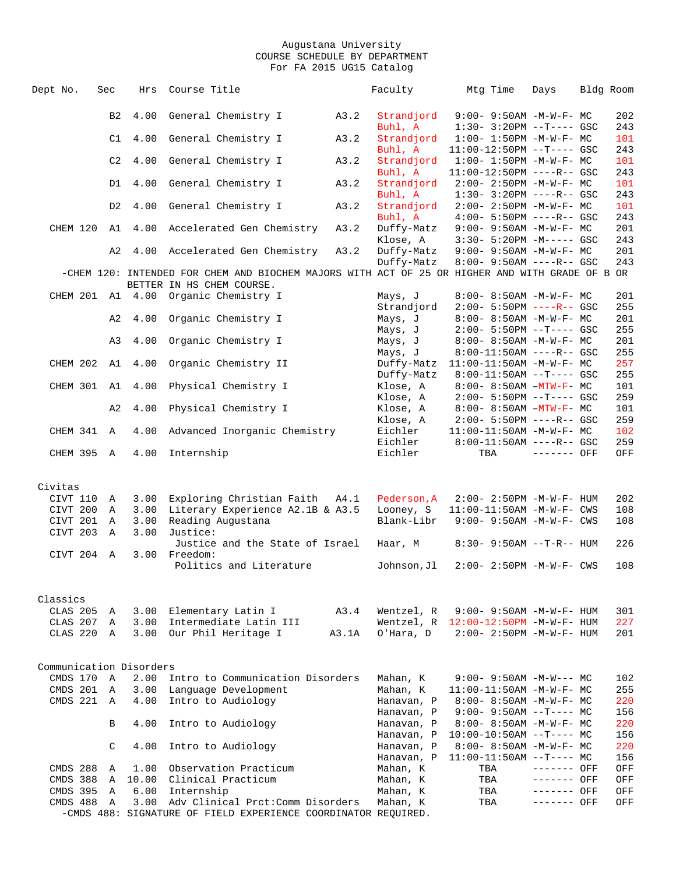| Dept No.                | Sec            | Hrs           | Course Title                                                                                    |       | Faculty               |            | Mtg Time | Days                                                   | Bldg Room |            |
|-------------------------|----------------|---------------|-------------------------------------------------------------------------------------------------|-------|-----------------------|------------|----------|--------------------------------------------------------|-----------|------------|
|                         |                |               |                                                                                                 |       |                       |            |          |                                                        |           |            |
|                         | B <sub>2</sub> | 4.00          | General Chemistry I                                                                             | A3.2  | Strandjord            |            |          | $9:00 - 9:50AM - M-W-F - MC$                           |           | 202        |
|                         |                |               |                                                                                                 |       | Buhl, A               |            |          | $1:30-3:20PM --T---GSC$                                |           | 243        |
|                         | C1             | 4.00          | General Chemistry I                                                                             | A3.2  | Strandjord            |            |          | $1:00 - 1:50PM -M-W-F - MC$                            |           | 101        |
|                         |                |               |                                                                                                 |       | Buhl, A               |            |          | $11:00-12:50PM$ --T---- GSC                            |           | 243        |
|                         | C2             | 4.00          | General Chemistry I                                                                             | A3.2  | Strandjord            |            |          | $1:00 - 1:50PM -M-W-F - MC$                            |           | 101        |
|                         |                |               |                                                                                                 |       | Buhl, A               |            |          | $11:00-12:50PM$ ----R-- GSC                            |           | 243        |
|                         | D1             | 4.00          | General Chemistry I                                                                             | A3.2  | Strandjord            |            |          | $2:00-2:50PM -M-W-F-MC$                                |           | 101        |
|                         |                |               |                                                                                                 |       | Buhl, A               |            |          | $1:30 - 3:20PM$ ----R-- GSC                            |           | 243        |
|                         | D <sub>2</sub> | 4.00          | General Chemistry I                                                                             | A3.2  | Strandjord<br>Buhl, A |            |          | $2:00-2:50PM -M-W-F-MC$<br>$4:00 - 5:50PM$ ----R-- GSC |           | 101<br>243 |
| CHEM 120                | A1             | 4.00          | Accelerated Gen Chemistry                                                                       | A3.2  | Duffy-Matz            |            |          | $9:00 - 9:50AM - M - W - F - MC$                       |           | 201        |
|                         |                |               |                                                                                                 |       | Klose, A              |            |          | $3:30 - 5:20PM -M--- GSC$                              |           | 243        |
|                         | A2             | 4.00          | Accelerated Gen Chemistry                                                                       | A3.2  | Duffy-Matz            |            |          | $9:00 - 9:50AM - M - W - F - MC$                       |           | 201        |
|                         |                |               |                                                                                                 |       | Duffy-Matz            |            |          | $8:00 - 9:50AM$ ----R-- GSC                            |           | 243        |
|                         |                |               | -CHEM 120: INTENDED FOR CHEM AND BIOCHEM MAJORS WITH ACT OF 25 OR HIGHER AND WITH GRADE OF B OR |       |                       |            |          |                                                        |           |            |
|                         |                |               | BETTER IN HS CHEM COURSE.                                                                       |       |                       |            |          |                                                        |           |            |
|                         |                |               | CHEM 201 A1 4.00 Organic Chemistry I                                                            |       | Mays, J               |            |          | $8:00 - 8:50AM - M - W - F - MC$                       |           | 201        |
|                         |                |               |                                                                                                 |       | Strandjord            |            |          | $2:00 - 5:50PM$ ----R-- GSC                            |           | 255        |
|                         | A2             | 4.00          | Organic Chemistry I                                                                             |       | Mays, J               |            |          | $8:00 - 8:50AM - M - W - F - MC$                       |           | 201        |
|                         |                |               |                                                                                                 |       | Mays, J               |            |          | $2:00 - 5:50PM -T--- GSC$                              |           | 255        |
|                         | A3             | 4.00          | Organic Chemistry I                                                                             |       | Mays, J               |            |          | $8:00 - 8:50AM - M - W - F - MC$                       |           | 201        |
|                         |                |               |                                                                                                 |       | Mays, J               |            |          | $8:00-11:50AM$ ----R-- GSC                             |           | 255        |
| CHEM 202 A1             |                | 4.00          | Organic Chemistry II                                                                            |       | Duffy-Matz            |            |          | $11:00-11:50AM$ -M-W-F- MC                             |           | 257        |
|                         |                |               |                                                                                                 |       | Duffy-Matz            |            |          | $8:00-11:50AM$ --T---- GSC                             |           | 255        |
| CHEM 301 A1             |                | 4.00          | Physical Chemistry I                                                                            |       | Klose, A              |            |          | $8:00 - 8:50AM - MTW - F - MC$                         |           | 101        |
|                         |                |               |                                                                                                 |       | Klose, A              |            |          | $2:00 - 5:50PM -T--- GSC$                              |           | 259        |
|                         | A <sub>2</sub> | 4.00          | Physical Chemistry I                                                                            |       | Klose, A              |            |          | $8:00 - 8:50AM - MTW - F - MC$                         |           | 101        |
|                         |                |               |                                                                                                 |       | Klose, A              |            |          | $2:00 - 5:50PM$ ----R-- GSC                            |           | 259        |
| CHEM 341 A              |                | 4.00          | Advanced Inorganic Chemistry                                                                    |       | Eichler               |            |          | $11:00-11:50AM$ -M-W-F- MC                             |           | 102        |
| CHEM 395 A              |                | 4.00          | Internship                                                                                      |       | Eichler<br>Eichler    | TBA        |          | $8:00-11:50AM$ ----R-- GSC<br>$------$ OFF             |           | 259<br>OFF |
|                         |                |               |                                                                                                 |       |                       |            |          |                                                        |           |            |
|                         |                |               |                                                                                                 |       |                       |            |          |                                                        |           |            |
| Civitas                 |                |               |                                                                                                 |       |                       |            |          |                                                        |           |            |
| CIVT 110                | A              | 3.00          | Exploring Christian Faith A4.1                                                                  |       | Pederson, A           |            |          | $2:00 - 2:50PM - M - W - F - HUM$                      |           | 202        |
| CIVT 200                | Α              | 3.00          | Literary Experience A2.1B & A3.5                                                                |       | Looney, S             |            |          | 11:00-11:50AM -M-W-F- CWS                              |           | 108        |
| CIVT 201                | Α              | 3.00          | Reading Augustana                                                                               |       | Blank-Libr            |            |          | $9:00 - 9:50AM - M - W - F - CWS$                      |           | 108        |
| CIVT 203                | A              | 3.00          | Justice:                                                                                        |       |                       |            |          |                                                        |           |            |
|                         |                |               | Justice and the State of Israel                                                                 |       | Haar, M               |            |          | $8:30 - 9:50AM -T-R-- HUM$                             |           | 226        |
| CIVT 204 A              |                | 3.00          | Freedom:                                                                                        |       |                       |            |          |                                                        |           |            |
|                         |                |               | Politics and Literature                                                                         |       | Johnson,Jl            |            |          | $2:00 - 2:50PM - M - W - F - CWS$                      |           | 108        |
|                         |                |               |                                                                                                 |       |                       |            |          |                                                        |           |            |
| Classics                |                |               |                                                                                                 |       |                       |            |          |                                                        |           |            |
| CLAS 205 A              |                | 3.00          | Elementary Latin I                                                                              | A3.4  | Wentzel, R            |            |          | $9:00 - 9:50AM - M - W - F - HUM$                      |           | 301        |
| CLAS 207                | Α              | 3.00          | Intermediate Latin III                                                                          |       | Wentzel, R            |            |          | $12:00-12:50PM -M-W-F- HUM$                            |           | 227        |
| CLAS 220                | Α              | 3.00          | Our Phil Heritage I                                                                             | A3.1A | O'Hara, D             |            |          | $2:00 - 2:50PM -M-W-F - HUM$                           |           | 201        |
|                         |                |               |                                                                                                 |       |                       |            |          |                                                        |           |            |
|                         |                |               |                                                                                                 |       |                       |            |          |                                                        |           |            |
| Communication Disorders |                |               |                                                                                                 |       |                       |            |          |                                                        |           |            |
| CMDS 170                | A              | 2.00          | Intro to Communication Disorders                                                                |       | Mahan, K              |            |          | $9:00 - 9:50AM - M-W--- MC$                            |           | 102        |
| CMDS 201                | Α              | 3.00          | Language Development                                                                            |       | Mahan, K              |            |          | $11:00-11:50AM$ -M-W-F- MC                             |           | 255        |
| CMDS 221                | A              | 4.00          | Intro to Audiology                                                                              |       | Hanavan, P            |            |          | $8:00 - 8:50AM - M - W - F - MC$                       |           | 220        |
|                         |                |               |                                                                                                 |       | Hanavan, P            |            |          | $9:00 - 9:50AM -T--- MC$                               |           | 156        |
|                         | В              | 4.00          | Intro to Audiology                                                                              |       | Hanavan, P            |            |          | $8:00 - 8:50AM$ -M-W-F- MC                             |           | 220        |
|                         |                |               |                                                                                                 |       | Hanavan, P            |            |          | $10:00-10:50AM$ --T---- MC                             |           | 156        |
|                         | C              | 4.00          | Intro to Audiology                                                                              |       | Hanavan, P            |            |          | 8:00- 8:50AM -M-W-F- MC                                |           | 220        |
|                         |                |               |                                                                                                 |       | Hanavan, P            |            |          | $11:00-11:50AM$ --T---- MC                             |           | 156        |
| CMDS 288<br>CMDS 388    | Α              | 1.00<br>10.00 | Observation Practicum<br>Clinical Practicum                                                     |       | Mahan, K<br>Mahan, K  | TBA        |          | ------- OFF                                            |           | OFF        |
| CMDS 395                | Α<br>Α         | 6.00          | Internship                                                                                      |       | Mahan, K              | TBA<br>TBA |          | ------- OFF<br>------- OFF                             |           | OFF<br>OFF |
| CMDS 488                | Α              | 3.00          | Adv Clinical Prct: Comm Disorders                                                               |       | Mahan, K              | TBA        |          | ------- OFF                                            |           | OFF        |
|                         |                |               | -CMDS 488: SIGNATURE OF FIELD EXPERIENCE COORDINATOR REQUIRED.                                  |       |                       |            |          |                                                        |           |            |
|                         |                |               |                                                                                                 |       |                       |            |          |                                                        |           |            |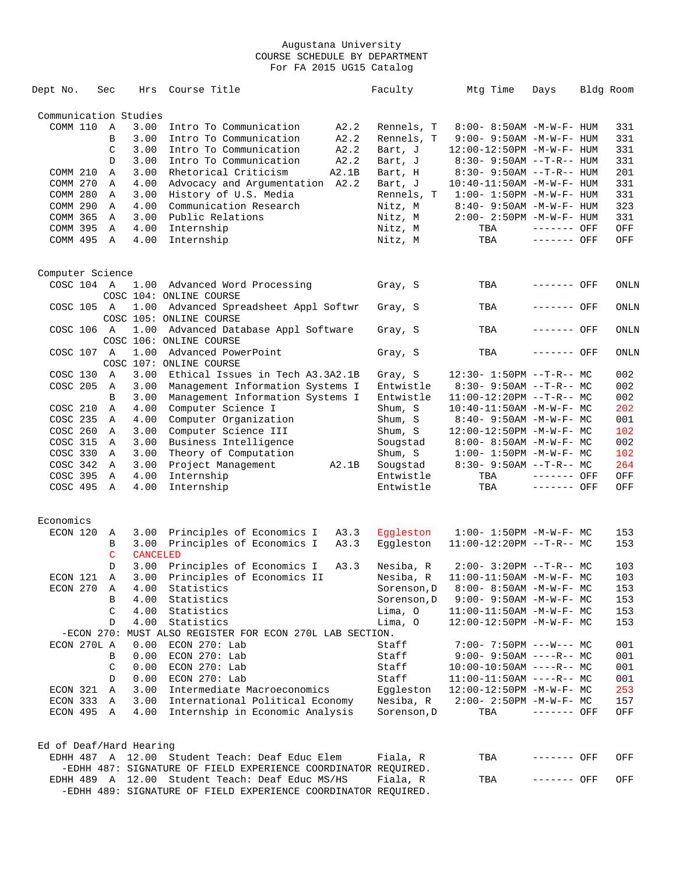| Dept No.                | Sec           | Hrs             | Course Title                                                   | Faculty     | Mtg Time                          | Days        | Bldg Room |
|-------------------------|---------------|-----------------|----------------------------------------------------------------|-------------|-----------------------------------|-------------|-----------|
| Communication Studies   |               |                 |                                                                |             |                                   |             |           |
| COMM 110                | Α             | 3.00            | Intro To Communication<br>A2.2                                 | Rennels, T  | 8:00- 8:50AM -M-W-F- HUM          |             | 331       |
|                         | B             | 3.00            | Intro To Communication<br>A2.2                                 | Rennels, T  | $9:00 - 9:50AM - M - W - F - HUM$ |             | 331       |
|                         | $\mathcal{C}$ | 3.00            | Intro To Communication<br>A2.2                                 | Bart, J     | 12:00-12:50PM -M-W-F- HUM         |             | 331       |
|                         | D             | 3.00            | Intro To Communication<br>A2.2                                 | Bart, J     | 8:30- 9:50AM --T-R-- HUM          |             | 331       |
| COMM 210                | Α             | 3.00            | Rhetorical Criticism<br>A2.1B                                  | Bart, H     | $8:30 - 9:50AM -T-R-- HUM$        |             | 201       |
| COMM 270                | Α             | 4.00            | Advocacy and Argumentation A2.2                                | Bart, J     | $10:40 - 11:50$ AM $-M-W-F-$ HUM  |             | 331       |
| <b>COMM 280</b>         | Α             | 3.00            | History of U.S. Media                                          | Rennels, T  | $1:00 - 1:50PM - M - W - F - HUM$ |             | 331       |
| COMM 290                | Α             | 4.00            | Communication Research                                         | Nitz, M     | 8:40- 9:50AM -M-W-F- HUM          |             | 323       |
| COMM 365                | A             | 3.00            | Public Relations                                               | Nitz, M     | $2:00 - 2:50PM -M-W-F - HUM$      |             | 331       |
| COMM 395                | A             | 4.00            | Internship                                                     | Nitz, M     | TBA                               | ------- OFF | OFF       |
| COMM 495                | Α             | 4.00            | Internship                                                     | Nitz, M     | TBA                               | ------- OFF | OFF       |
|                         |               |                 |                                                                |             |                                   |             |           |
| Computer Science        |               |                 |                                                                |             |                                   |             |           |
| COSC 104 A              |               |                 | 1.00 Advanced Word Processing                                  | Gray, S     | TBA                               | ------- OFF | ONLN      |
|                         |               |                 | COSC 104: ONLINE COURSE                                        |             |                                   |             |           |
| COSC 105 A              |               | 1.00            | Advanced Spreadsheet Appl Softwr                               | Gray, S     | TBA                               | ------- OFF | ONLN      |
|                         |               |                 | COSC 105: ONLINE COURSE                                        |             |                                   |             |           |
| COSC 106 A              |               | 1.00            | Advanced Database Appl Software                                | Gray, S     | TBA                               | ------- OFF | ONLN      |
|                         |               |                 | COSC 106: ONLINE COURSE                                        |             |                                   |             |           |
| COSC 107 A              |               | 1.00            | Advanced PowerPoint                                            | Gray, S     | TBA                               | ------- OFF | ONLN      |
|                         |               |                 | COSC 107: ONLINE COURSE                                        |             |                                   |             |           |
| COSC 130                | A             | 3.00            | Ethical Issues in Tech A3.3A2.1B                               | Gray, S     | $12:30 - 1:50PM -T-R--MC$         |             | 002       |
| COSC 205                | A             | 3.00            | Management Information Systems I                               | Entwistle   | $8:30-9:50AM --T-R--MC$           |             | 002       |
|                         | B             | 3.00            | Management Information Systems I                               | Entwistle   | $11:00-12:20PM$ --T-R-- MC        |             | 002       |
| COSC 210                | $\mathbb A$   | 4.00            | Computer Science I                                             | Shum, S     | $10:40 - 11:50AM$ -M-W-F- MC      |             | 202       |
| COSC 235                | Α             | 4.00            | Computer Organization                                          | Shum, S     | $8:40 - 9:50AM - M-W-F - MC$      |             | 001       |
| COSC 260                | Α             | 3.00            | Computer Science III                                           | Shum, S     | $12:00-12:50PM -M-W-F-MC$         |             | 102       |
| COSC 315                | Α             | 3.00            | Business Intelligence                                          | Sougstad    | $8:00 - 8:50AM - M - W - F - MC$  |             | 002       |
| COSC 330                | Α             | 3.00            | Theory of Computation                                          | Shum, S     | $1:00 - 1:50PM - M - W - F - MC$  |             | 102       |
| COSC 342                | Α             | 3.00            | Project Management<br>A2.1B                                    | Sougstad    | $8:30 - 9:50AM -T-R--MC$          |             | 264       |
| COSC 395                | Α             | 4.00            | Internship                                                     | Entwistle   | TBA                               | ------- OFF | OFF       |
| COSC 495                | A             | 4.00            | Internship                                                     | Entwistle   | TBA                               | ------- OFF | OFF       |
|                         |               |                 |                                                                |             |                                   |             |           |
| Economics               |               |                 |                                                                |             |                                   |             |           |
| ECON 120                | Α             | 3.00            | Principles of Economics I<br>A3.3                              | Eqqleston   | $1:00 - 1:50PM - M - W - F - MC$  |             | 153       |
|                         | В             | 3.00            | Principles of Economics I<br>A3.3                              | Eggleston   | $11:00-12:20PM$ --T-R-- MC        |             | 153       |
|                         | $\mathsf{C}$  | <b>CANCELED</b> |                                                                |             |                                   |             |           |
|                         | D             | 3.00            | Principles of Economics I<br>A3.3                              | Nesiba, R   | $2:00-3:20PM -T-R--MC$            |             | 103       |
| ECON 121                | Α             | 3.00            | Principles of Economics II                                     | Nesiba, R   | $11:00-11:50AM - M-W-F- MC$       |             | 103       |
| ECON 270                | A             | 4.00            | Statistics                                                     | Sorenson, D | 8:00- 8:50AM -M-W-F- MC           |             | 153       |
|                         | В             | 4.00            | Statistics                                                     | Sorenson, D | $9:00 - 9:50AM - M - W - F - MC$  |             | 153       |
|                         | C             | 4.00            | Statistics                                                     | Lima, O     | $11:00-11:50AM$ -M-W-F- MC        |             | 153       |
|                         | D             | 4.00            | Statistics                                                     | Lima, O     | 12:00-12:50PM -M-W-F- MC          |             | 153       |
|                         |               |                 | -ECON 270: MUST ALSO REGISTER FOR ECON 270L LAB SECTION.       |             |                                   |             |           |
| ECON 270L A             |               | 0.00            | ECON 270: Lab                                                  | Staff       | $7:00 - 7:50PM$ ---W--- MC        |             | 001       |
|                         | В             | 0.00            | ECON 270: Lab                                                  | Staff       | $9:00 - 9:50AM$ ----R-- MC        |             | 001       |
|                         | C             | 0.00            | ECON 270: Lab                                                  | Staff       | $10:00-10:50AM$ ----R-- MC        |             | 001       |
|                         | D             | 0.00            | ECON 270: Lab                                                  | Staff       | $11:00-11:50AM$ ----R-- MC        |             | 001       |
| ECON 321                | Α             | 3.00            | Intermediate Macroeconomics                                    | Eqqleston   | 12:00-12:50PM -M-W-F- MC          |             | 253       |
| ECON 333                | A             | 3.00            | International Political Economy                                | Nesiba, R   | $2:00 - 2:50PM -M-W-F - MC$       |             | 157       |
| ECON 495 A              |               | 4.00            | Internship in Economic Analysis                                | Sorenson, D | TBA                               | ------- OFF | OFF       |
|                         |               |                 |                                                                |             |                                   |             |           |
| Ed of Deaf/Hard Hearing |               |                 |                                                                |             |                                   |             |           |
|                         |               |                 | EDHH 487 A 12.00 Student Teach: Deaf Educ Elem                 | Fiala, R    | TBA                               | ------- OFF | OFF       |
|                         |               |                 | -EDHH 487: SIGNATURE OF FIELD EXPERIENCE COORDINATOR REQUIRED. |             |                                   |             |           |
|                         |               |                 | EDHH 489 A 12.00 Student Teach: Deaf Educ MS/HS                | Fiala, R    | TBA                               | ------- OFF | OFF       |
|                         |               |                 | -EDHH 489: SIGNATURE OF FIELD EXPERIENCE COORDINATOR REQUIRED. |             |                                   |             |           |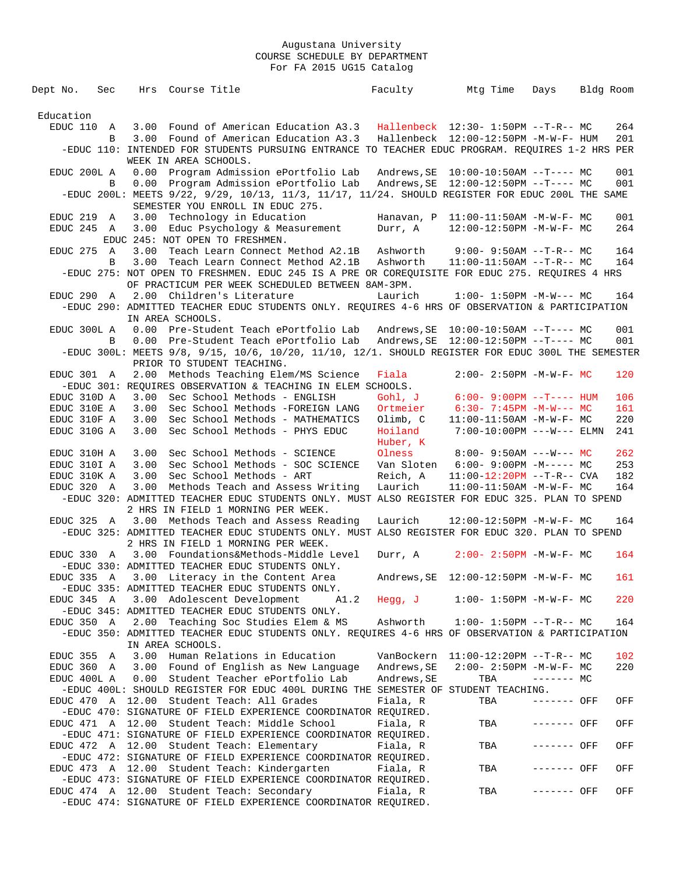| Dept No.               | Sec |      | Hrs Course Title                                                                                                                    |      | Faculty                   | Mtg Time                                                  | Days        | Bldg Room |            |
|------------------------|-----|------|-------------------------------------------------------------------------------------------------------------------------------------|------|---------------------------|-----------------------------------------------------------|-------------|-----------|------------|
|                        |     |      |                                                                                                                                     |      |                           |                                                           |             |           |            |
| Education              |     |      |                                                                                                                                     |      |                           |                                                           |             |           |            |
| EDUC 110 A             |     |      | 3.00 Found of American Education A3.3                                                                                               |      |                           | Hallenbeck 12:30- 1:50PM --T-R-- MC                       |             |           | 264        |
|                        | B   |      | 3.00 Found of American Education A3.3                                                                                               |      |                           | Hallenbeck 12:00-12:50PM -M-W-F- HUM                      |             |           | 201        |
|                        |     |      | -EDUC 110: INTENDED FOR STUDENTS PURSUING ENTRANCE TO TEACHER EDUC PROGRAM. REQUIRES 1-2 HRS PER                                    |      |                           |                                                           |             |           |            |
|                        |     |      | WEEK IN AREA SCHOOLS.                                                                                                               |      |                           |                                                           |             |           |            |
| EDUC 200L A            |     | 0.00 | Program Admission ePortfolio Lab                                                                                                    |      |                           | Andrews, SE   10:00-10:50AM --T---- MC                    |             |           | 001        |
|                        | B   | 0.00 | Program Admission ePortfolio Lab                                                                                                    |      |                           |                                                           |             |           | 001        |
|                        |     |      | -EDUC 200L: MEETS 9/22, 9/29, 10/13, 11/3, 11/17, 11/24. SHOULD REGISTER FOR EDUC 200L THE SAME<br>SEMESTER YOU ENROLL IN EDUC 275. |      |                           |                                                           |             |           |            |
| EDUC 219 A             |     |      | 3.00 Technology in Education                                                                                                        |      |                           | Hanavan, $P$ 11:00-11:50AM -M-W-F- MC                     |             |           | 001        |
| EDUC 245 A             |     |      | 3.00 Educ Psychology & Measurement                                                                                                  |      | Durr, A                   | 12:00-12:50PM -M-W-F- MC                                  |             |           | 264        |
|                        |     |      | EDUC 245: NOT OPEN TO FRESHMEN.                                                                                                     |      |                           |                                                           |             |           |            |
| EDUC 275 A             |     |      | 3.00 Teach Learn Connect Method A2.1B                                                                                               |      | Ashworth                  | $9:00 - 9:50AM -T-R--MC$                                  |             |           | 164        |
|                        | B   | 3.00 | Teach Learn Connect Method A2.1B                                                                                                    |      | Ashworth                  | $11:00-11:50AM$ --T-R-- MC                                |             |           | 164        |
|                        |     |      | -EDUC 275: NOT OPEN TO FRESHMEN. EDUC 245 IS A PRE OR COREQUISITE FOR EDUC 275. REQUIRES 4 HRS                                      |      |                           |                                                           |             |           |            |
|                        |     |      | OF PRACTICUM PER WEEK SCHEDULED BETWEEN 8AM-3PM.                                                                                    |      |                           |                                                           |             |           |            |
| EDUC 290 A             |     |      | 2.00 Children's Literature                                                                                                          |      | Laurich                   | $1:00 - 1:50PM -M-W--- MC$                                |             |           | 164        |
|                        |     |      | -EDUC 290: ADMITTED TEACHER EDUC STUDENTS ONLY. REQUIRES 4-6 HRS OF OBSERVATION & PARTICIPATION                                     |      |                           |                                                           |             |           |            |
|                        |     |      | IN AREA SCHOOLS.                                                                                                                    |      |                           |                                                           |             |           |            |
| EDUC 300L A            |     |      | 0.00 Pre-Student Teach ePortfolio Lab                                                                                               |      |                           | Andrews, $SE = 10:00-10:50AM$ --T---- MC                  |             |           | 001        |
|                        | B   | 0.00 | Pre-Student Teach ePortfolio Lab                                                                                                    |      |                           |                                                           |             |           | 001        |
|                        |     |      | -EDUC 300L: MEETS 9/8, 9/15, 10/6, 10/20, 11/10, 12/1. SHOULD REGISTER FOR EDUC 300L THE SEMESTER                                   |      |                           |                                                           |             |           |            |
|                        |     |      | PRIOR TO STUDENT TEACHING.                                                                                                          |      |                           |                                                           |             |           |            |
| EDUC 301 A             |     |      | 2.00 Methods Teaching Elem/MS Science                                                                                               |      | Fiala                     | $2:00 - 2:50PM -M-W-F - MC$                               |             |           | 120        |
|                        |     |      | -EDUC 301: REOUIRES OBSERVATION & TEACHING IN ELEM SCHOOLS.                                                                         |      |                           |                                                           |             |           |            |
| EDUC 310D A            |     | 3.00 | Sec School Methods - ENGLISH                                                                                                        |      | Gohl, J                   | $6:00 - 9:00PM$ --T---- HUM                               |             |           | 106        |
| EDUC 310E A            |     | 3.00 | Sec School Methods -FOREIGN LANG                                                                                                    |      | Ortmeier                  | $6:30 - 7:45PM -M-W--- MC$                                |             |           | 161        |
| EDUC 310F A            |     | 3.00 | Sec School Methods - MATHEMATICS                                                                                                    |      | Olimb, C                  | $11:00-11:50AM$ -M-W-F- MC                                |             |           | 220        |
| EDUC 310G A            |     | 3.00 | Sec School Methods - PHYS EDUC                                                                                                      |      | Hoiland                   | $7:00-10:00PM$ ---W--- ELMN                               |             |           | 241        |
| EDUC 310H A            |     | 3.00 | Sec School Methods - SCIENCE                                                                                                        |      | Huber, K<br>Olness        | $8:00 - 9:50AM$ ---W--- MC                                |             |           | 262        |
| EDUC 310I A            |     | 3.00 | Sec School Methods - SOC SCIENCE                                                                                                    |      | Van Sloten                | $6:00-9:00PM -M--- MC$                                    |             |           | 253        |
| EDUC 310K A            |     | 3.00 | Sec School Methods - ART                                                                                                            |      | Reich, A                  | $11:00-12:20PM -T-R--CVA$                                 |             |           | 182        |
| EDUC 320 A             |     | 3.00 | Methods Teach and Assess Writing                                                                                                    |      | Laurich                   | $11:00-11:50AM$ -M-W-F- MC                                |             |           | 164        |
|                        |     |      | -EDUC 320: ADMITTED TEACHER EDUC STUDENTS ONLY. MUST ALSO REGISTER FOR EDUC 325. PLAN TO SPEND                                      |      |                           |                                                           |             |           |            |
|                        |     |      | 2 HRS IN FIELD 1 MORNING PER WEEK.                                                                                                  |      |                           |                                                           |             |           |            |
|                        |     |      | EDUC 325 A 3.00 Methods Teach and Assess Reading                                                                                    |      | Laurich                   | 12:00-12:50PM -M-W-F- MC                                  |             |           | 164        |
|                        |     |      | -EDUC 325: ADMITTED TEACHER EDUC STUDENTS ONLY. MUST ALSO REGISTER FOR EDUC 320. PLAN TO SPEND                                      |      |                           |                                                           |             |           |            |
|                        |     |      | 2 HRS IN FIELD 1 MORNING PER WEEK.                                                                                                  |      |                           |                                                           |             |           |            |
| EDUC 330 A             |     |      | 3.00 Foundations&Methods-Middle Level                                                                                               |      | Durr, A                   | $2:00 - 2:50PM - M - W - F - MC$                          |             |           | 164        |
|                        |     |      | -EDUC 330: ADMITTED TEACHER EDUC STUDENTS ONLY.                                                                                     |      |                           |                                                           |             |           |            |
|                        |     |      | EDUC 335 A 3.00 Literacy in the Content Area                                                                                        |      | Andrews, SE               | 12:00-12:50PM -M-W-F- MC                                  |             |           | 161        |
|                        |     |      | -EDUC 335: ADMITTED TEACHER EDUC STUDENTS ONLY.                                                                                     |      |                           |                                                           |             |           |            |
| EDUC 345 A             |     |      | 3.00 Adolescent Development                                                                                                         | A1.2 | Hegg, J                   | $1:00-1:50PM -M-W-F-MC$                                   |             |           | 220        |
|                        |     |      | -EDUC 345: ADMITTED TEACHER EDUC STUDENTS ONLY.                                                                                     |      |                           |                                                           |             |           |            |
| EDUC 350 A             |     |      | 2.00 Teaching Soc Studies Elem & MS                                                                                                 |      | Ashworth                  | $1:00 - 1:50PM -T-R--MC$                                  |             |           | 164        |
|                        |     |      | -EDUC 350: ADMITTED TEACHER EDUC STUDENTS ONLY. REQUIRES 4-6 HRS OF OBSERVATION & PARTICIPATION                                     |      |                           |                                                           |             |           |            |
|                        |     |      | IN AREA SCHOOLS.                                                                                                                    |      |                           |                                                           |             |           |            |
| EDUC 355<br>EDUC 360 A | A   | 3.00 | Human Relations in Education<br>3.00 Found of English as New Language                                                               |      | VanBockern<br>Andrews, SE | $11:00-12:20PM$ --T-R-- MC<br>$2:00 - 2:50PM -M-W-F - MC$ |             |           | 102<br>220 |
| EDUC 400L A            |     |      | 0.00 Student Teacher ePortfolio Lab                                                                                                 |      | Andrews, SE               | TBA                                                       | $------MC$  |           |            |
|                        |     |      | -EDUC 400L: SHOULD REGISTER FOR EDUC 400L DURING THE SEMESTER OF STUDENT TEACHING.                                                  |      |                           |                                                           |             |           |            |
|                        |     |      | EDUC 470 A 12.00 Student Teach: All Grades                                                                                          |      | Fiala, R                  | TBA                                                       | ------- OFF |           | OFF        |
|                        |     |      | -EDUC 470: SIGNATURE OF FIELD EXPERIENCE COORDINATOR REQUIRED.                                                                      |      |                           |                                                           |             |           |            |
|                        |     |      | EDUC 471 A 12.00 Student Teach: Middle School                                                                                       |      | Fiala, R                  | TBA                                                       | ------- OFF |           | OFF        |
|                        |     |      | -EDUC 471: SIGNATURE OF FIELD EXPERIENCE COORDINATOR REQUIRED.                                                                      |      |                           |                                                           |             |           |            |
|                        |     |      | EDUC 472 A 12.00 Student Teach: Elementary                                                                                          |      | Fiala, R                  | TBA                                                       | ------- OFF |           | OFF        |
|                        |     |      | -EDUC 472: SIGNATURE OF FIELD EXPERIENCE COORDINATOR REQUIRED.                                                                      |      |                           |                                                           |             |           |            |
|                        |     |      | EDUC 473 A 12.00 Student Teach: Kindergarten                                                                                        |      | Fiala, R                  | TBA                                                       | ------- OFF |           | OFF        |
|                        |     |      | -EDUC 473: SIGNATURE OF FIELD EXPERIENCE COORDINATOR REQUIRED.                                                                      |      |                           |                                                           |             |           |            |
|                        |     |      | EDUC 474 A 12.00 Student Teach: Secondary                                                                                           |      | Fiala, R                  | TBA                                                       | ------- OFF |           | OFF        |
|                        |     |      | -EDUC 474: SIGNATURE OF FIELD EXPERIENCE COORDINATOR REQUIRED.                                                                      |      |                           |                                                           |             |           |            |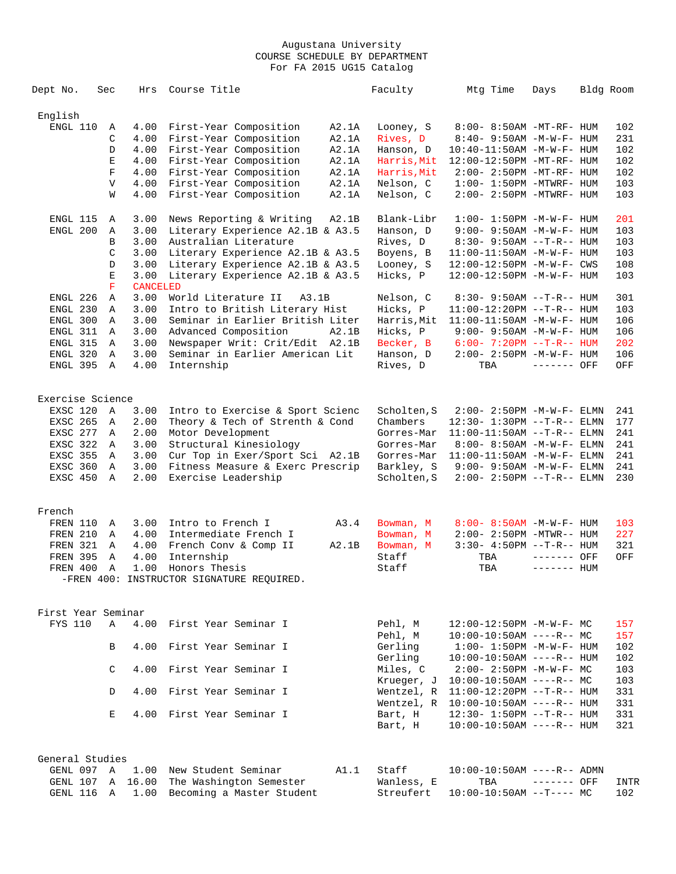| Dept No.                    | Sec          | Hrs             | Course Title                                              |       | Faculty            | Mtg Time                                            | Days         | Bldg Room |      |
|-----------------------------|--------------|-----------------|-----------------------------------------------------------|-------|--------------------|-----------------------------------------------------|--------------|-----------|------|
| English                     |              |                 |                                                           |       |                    |                                                     |              |           |      |
| ENGL 110                    | Α            | 4.00            | First-Year Composition                                    | A2.1A | Looney, S          | 8:00- 8:50AM -MT-RF- HUM                            |              |           | 102  |
|                             | C            | 4.00            | First-Year Composition                                    | A2.1A | Rives, D           | 8:40- 9:50AM -M-W-F- HUM                            |              |           | 231  |
|                             | D            | 4.00            | First-Year Composition                                    | A2.1A | Hanson, D          | 10:40-11:50AM -M-W-F- HUM                           |              |           | 102  |
|                             | E            | 4.00            | First-Year Composition                                    | A2.1A | Harris,Mit         | 12:00-12:50PM -MT-RF- HUM                           |              |           | 102  |
|                             | $\mathbf F$  | 4.00            | First-Year Composition                                    | A2.1A | Harris, Mit        | 2:00- 2:50PM -MT-RF- HUM                            |              |           | 102  |
|                             | $\mathbf{V}$ | 4.00            | First-Year Composition                                    | A2.1A | Nelson, C          | $1:00 - 1:50PM - MTWRF - HUM$                       |              |           | 103  |
|                             | W            | 4.00            | First-Year Composition                                    | A2.1A | Nelson, C          | 2:00- 2:50PM -MTWRF- HUM                            |              |           | 103  |
| ENGL 115                    | Α            | 3.00            | News Reporting & Writing                                  | A2.1B | Blank-Libr         | $1:00 - 1:50PM - M - W - F - HUM$                   |              |           | 201  |
| ENGL 200                    | Α            | 3.00            | Literary Experience A2.1B & A3.5                          |       | Hanson, D          | $9:00-9:50AM -M-W-F-HUM$                            |              |           | 103  |
|                             | B            | 3.00            | Australian Literature                                     |       | Rives, D           | 8:30- 9:50AM --T-R-- HUM                            |              |           | 103  |
|                             | C            | 3.00            | Literary Experience A2.1B & A3.5                          |       | Boyens, B          | 11:00-11:50AM -M-W-F- HUM                           |              |           | 103  |
|                             | D            | 3.00            | Literary Experience A2.1B & A3.5                          |       | Looney, S          | 12:00-12:50PM -M-W-F- CWS                           |              |           | 108  |
|                             | E            | 3.00            | Literary Experience A2.1B & A3.5                          |       | Hicks, P           | 12:00-12:50PM -M-W-F- HUM                           |              |           | 103  |
|                             | $\mathbf F$  | <b>CANCELED</b> |                                                           |       |                    |                                                     |              |           |      |
| ENGL 226                    | Α            | 3.00            | World Literature II<br>A3.1B                              |       | Nelson, C          | $8:30 - 9:50AM -T-R-- HUM$                          |              |           | 301  |
| ENGL 230                    | Α            | 3.00            | Intro to British Literary Hist                            |       | Hicks, P           | 11:00-12:20PM --T-R-- HUM                           |              |           | 103  |
| ENGL 300                    | Α            | 3.00            | Seminar in Earlier British Liter                          |       | Harris, Mit        | $11:00-11:50AM$ -M-W-F- HUM                         |              |           | 106  |
| ENGL 311                    | Α            | 3.00            | Advanced Composition                                      | A2.1B | Hicks, P           | $9:00 - 9:50AM - M - W - F - HUM$                   |              |           | 106  |
| ENGL 315                    | Α            | 3.00            | Newspaper Writ: Crit/Edit A2.1B                           |       | Becker, B          | $6:00 - 7:20PM -T-R-- HUM$                          |              |           | 202  |
| ENGL 320                    | Α            | 3.00            | Seminar in Earlier American Lit                           |       | Hanson, D          | 2:00- 2:50PM -M-W-F- HUM                            |              |           | 106  |
| ENGL 395                    | Α            | 4.00            | Internship                                                |       | Rives, D           | TBA                                                 | $------$ OFF |           | OFF  |
|                             |              |                 |                                                           |       |                    |                                                     |              |           |      |
| Exercise Science            |              |                 |                                                           |       |                    |                                                     |              |           |      |
| EXSC 120                    | A            | 3.00            | Intro to Exercise & Sport Scienc                          |       | Scholten, S        | 2:00- 2:50PM -M-W-F- ELMN                           |              |           | 241  |
| EXSC 265                    | A            | 2.00            | Theory & Tech of Strenth & Cond                           |       | Chambers           | 12:30- 1:30PM --T-R-- ELMN                          |              |           | 177  |
| EXSC 277                    | Α            | 2.00            | Motor Development                                         |       | Gorres-Mar         | $11:00-11:50AM$ --T-R-- ELMN                        |              |           | 241  |
| EXSC 322                    | Α            | 3.00            | Structural Kinesiology                                    |       | Gorres-Mar         | 8:00- 8:50AM -M-W-F- ELMN                           |              |           | 241  |
| <b>EXSC 355</b>             | Α            | 3.00            | Cur Top in Exer/Sport Sci A2.1B                           |       | Gorres-Mar         | $11:00-11:50AM -M-W-F- ELMN$                        |              |           | 241  |
| EXSC 360                    | Α            | 3.00            | Fitness Measure & Exerc Prescrip                          |       | Barkley, S         | $9:00 - 9:50AM - M - W - F - ELMN$                  |              |           | 241  |
| EXSC 450                    | Α            | 2.00            | Exercise Leadership                                       |       | Scholten, S        | 2:00- 2:50PM --T-R-- ELMN                           |              |           | 230  |
| French                      |              |                 |                                                           |       |                    |                                                     |              |           |      |
| FREN 110                    |              | 3.00            | Intro to French I                                         | A3.4  |                    | 8:00- 8:50AM -M-W-F- HUM                            |              |           | 103  |
|                             | Α<br>Α       | 4.00            |                                                           |       | Bowman, M          |                                                     |              |           | 227  |
| <b>FREN 210</b><br>FREN 321 | Α            | 4.00            | Intermediate French I<br>French Conv & Comp II            | A2.1B | Bowman, M          | 2:00- 2:50PM -MTWR-- HUM<br>$3:30-4:50PM -T-R--HUM$ |              |           | 321  |
| <b>FREN 395</b>             |              | 4.00            | Internship                                                |       | Bowman, M<br>Staff |                                                     |              |           | OFF  |
|                             | Α            |                 |                                                           |       |                    | TBA                                                 | ------- OFF  |           |      |
| FREN 400                    | Α            | 1.00            | Honors Thesis<br>-FREN 400: INSTRUCTOR SIGNATURE REQUIRED |       | Staff              | TBA                                                 | $------$ HUM |           |      |
|                             |              |                 |                                                           |       |                    |                                                     |              |           |      |
| First Year Seminar          |              |                 |                                                           |       |                    |                                                     |              |           |      |
| FYS 110                     | Α            |                 | 4.00 First Year Seminar I                                 |       | Pehl, M            | $12:00-12:50PM -M-W-F-MC$                           |              |           | 157  |
|                             |              |                 |                                                           |       | Pehl, M            | $10:00-10:50AM$ ----R-- MC                          |              |           | 157  |
|                             | B            | 4.00            | First Year Seminar I                                      |       | Gerling            | $1:00 - 1:50PM -M -W -F - HUM$                      |              |           | 102  |
|                             |              |                 |                                                           |       | Gerling            | $10:00-10:50AM$ ----R-- HUM                         |              |           | 102  |
|                             |              |                 |                                                           |       |                    |                                                     |              |           |      |
|                             | C            | 4.00            | First Year Seminar I                                      |       | Miles, C           | $2:00 - 2:50PM -M-W-F - MC$                         |              |           | 103  |
|                             |              |                 |                                                           |       | Krueger, J         | $10:00-10:50AM$ ----R-- MC                          |              |           | 103  |
|                             | D            |                 | 4.00 First Year Seminar I                                 |       | Wentzel, R         | $11:00-12:20PM -T-R--HUM$                           |              |           | 331  |
|                             |              |                 |                                                           |       | Wentzel, R         | $10:00-10:50AM$ ----R-- HUM                         |              |           | 331  |
|                             | Е            |                 | 4.00 First Year Seminar I                                 |       | Bart, H            | $12:30 - 1:50PM -T-R--HUM$                          |              |           | 331  |
|                             |              |                 |                                                           |       | Bart, H            | $10:00-10:50AM$ ----R-- HUM                         |              |           | 321  |
| General Studies             |              |                 |                                                           |       |                    |                                                     |              |           |      |
| GENL 097 A                  |              | 1.00            | New Student Seminar                                       | A1.1  | Staff              | $10:00-10:50AM$ ----R-- ADMN                        |              |           |      |
| GENL 107                    | Α            | 16.00           | The Washington Semester                                   |       | Wanless, E         | TBA                                                 | $------$ OFF |           | INTR |
| GENL 116                    | Α            |                 | 1.00 Becoming a Master Student                            |       | Streufert          | $10:00-10:50AM$ --T---- MC                          |              |           | 102  |
|                             |              |                 |                                                           |       |                    |                                                     |              |           |      |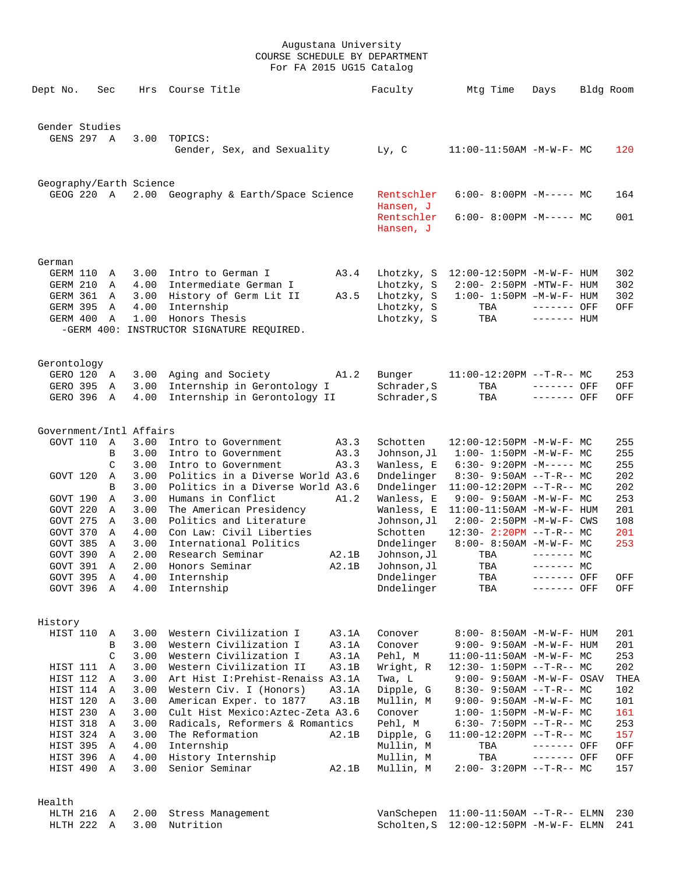| Dept No.                            | Sec    | Hrs          | Course Title                                                       | Faculty                   | Mtg Time                                                   | Days         | Bldg Room   |            |
|-------------------------------------|--------|--------------|--------------------------------------------------------------------|---------------------------|------------------------------------------------------------|--------------|-------------|------------|
| Gender Studies<br>GENS 297 A        |        | 3.00         | TOPICS:                                                            |                           |                                                            |              |             |            |
|                                     |        |              | Gender, Sex, and Sexuality                                         | Ly, C                     | 11:00-11:50AM -M-W-F- MC                                   |              |             | 120        |
| Geography/Earth Science<br>GEOG 220 | A      | 2.00         | Geography & Earth/Space Science                                    | Rentschler                | $6:00-8:00PM -M----- MC$                                   |              |             | 164        |
|                                     |        |              |                                                                    | Hansen, J<br>Rentschler   | $6:00-8:00PM -M--- MC$                                     |              |             | 001        |
|                                     |        |              |                                                                    | Hansen, J                 |                                                            |              |             |            |
| German                              |        |              |                                                                    |                           |                                                            |              |             |            |
| GERM 110                            | A      | 3.00         | Intro to German I<br>A3.4                                          | Lhotzky, S                | 12:00-12:50PM -M-W-F- HUM                                  |              |             | 302        |
| GERM 210                            | Α      | 4.00         | Intermediate German I                                              | Lhotzky, S                | $2:00 - 2:50PM - MTW - F - HUM$                            |              |             | 302        |
| GERM 361<br><b>GERM 395</b>         | A<br>Α | 3.00<br>4.00 | History of Germ Lit II<br>A3.5<br>Internship                       | Lhotzky, S<br>Lhotzky, S  | $1:00 - 1:50PM -M-W-F - HUM$<br>TBA                        | ------- OFF  |             | 302<br>OFF |
| GERM 400                            | Α      | 1.00         | Honors Thesis                                                      | Lhotzky, S                | TBA                                                        | $------$ HUM |             |            |
|                                     |        |              | -GERM 400: INSTRUCTOR SIGNATURE REQUIRED.                          |                           |                                                            |              |             |            |
| Gerontology                         |        |              |                                                                    |                           |                                                            |              |             |            |
| GERO 120 A                          |        | 3.00         | Aging and Society<br>A1.2                                          | Bunger                    | $11:00-12:20PM --T-R--MC$                                  |              |             | 253        |
| <b>GERO 395</b>                     | Α      | 3.00         | Internship in Gerontology I                                        | Schrader, S               | TBA                                                        | ------- OFF  |             | OFF        |
| GERO 396                            | A      | 4.00         | Internship in Gerontology II                                       | Schrader, S               | TBA                                                        | ------- OFF  |             | OFF        |
| Government/Intl Affairs             |        |              |                                                                    |                           |                                                            |              |             |            |
| GOVT 110                            | Α      | 3.00         | Intro to Government<br>A3.3                                        | Schotten                  | 12:00-12:50PM -M-W-F- MC                                   |              |             | 255        |
|                                     | B<br>C | 3.00<br>3.00 | Intro to Government<br>A3.3<br>A3.3<br>Intro to Government         | Johnson, Jl<br>Wanless, E | $1:00 - 1:50PM - M - W - F - MC$<br>$6:30-9:20PM -M--- MC$ |              |             | 255<br>255 |
| GOVT 120                            | Α      | 3.00         | Politics in a Diverse World A3.6                                   | Dndelinger                | $8:30 - 9:50AM -T-R-- MC$                                  |              |             | 202        |
|                                     | В      | 3.00         | Politics in a Diverse World A3.6                                   | Dndelinger                | $11:00-12:20PM$ --T-R-- MC                                 |              |             | 202        |
| GOVT 190                            | Α      | 3.00         | Humans in Conflict<br>A1.2                                         | Wanless, E                | $9:00 - 9:50AM - M - W - F - MC$                           |              |             | 253        |
| GOVT 220                            | Α      | 3.00         | The American Presidency                                            | Wanless, E                | $11:00-11:50AM$ -M-W-F- HUM                                |              |             | 201        |
| GOVT 275                            | Α      | 3.00         | Politics and Literature                                            | Johnson, Jl               | 2:00- 2:50PM -M-W-F- CWS                                   |              |             | 108        |
| GOVT 370                            | Α      | 4.00         | Con Law: Civil Liberties                                           | Schotten                  | $12:30 - 2:20PM -T-R-- MC$                                 |              |             | 201        |
| GOVT 385                            | Α      | 3.00         | International Politics                                             | Dndelinger                | 8:00- 8:50AM -M-W-F- MC                                    |              |             | 253        |
| GOVT 390                            | Α      | 2.00         | Research Seminar<br>A2.1B                                          | Johnson, Jl               | TBA                                                        | $------$ MC  |             |            |
| GOVT 391                            | Α      | 2.00         | Honors Seminar<br>A2.1B                                            | Johnson, Jl               | TBA                                                        | $------$ MC  |             |            |
| GOVT 395                            | Α      | 4.00         | Internship                                                         | Dndelinger                | TBA                                                        | ------- OFF  |             | OFF        |
| GOVT 396 A                          |        | 4.00         | Internship                                                         | Dndelinger                | TBA                                                        | ------- OFF  |             | OFF        |
| History                             |        |              |                                                                    |                           |                                                            |              |             |            |
| HIST 110                            | Α<br>B | 3.00<br>3.00 | Western Civilization I<br>A3.1A<br>Western Civilization I<br>A3.1A | Conover<br>Conover        | 8:00- 8:50AM -M-W-F- HUM<br>9:00- 9:50AM -M-W-F- HUM       |              |             | 201<br>201 |
|                                     | C      | 3.00         | Western Civilization I<br>A3.1A                                    | Pehl, M                   | $11:00-11:50AM$ -M-W-F- MC                                 |              |             | 253        |
| HIST 111                            | Α      | 3.00         | Western Civilization II<br>A3.1B                                   | Wright, R                 | 12:30- 1:50PM --T-R-- MC                                   |              |             | 202        |
| HIST 112                            | Α      | 3.00         | Art Hist I: Prehist-Renaiss A3.1A                                  | Twa, L                    | $9:00 - 9:50AM - M - W - F - OSAV$                         |              |             | THEA       |
| HIST 114                            | Α      | 3.00         | Western Civ. I (Honors)<br>A3.1A                                   | Dipple, G                 | $8:30-9:50AM -T-R--MC$                                     |              |             | 102        |
| HIST 120                            | Α      | 3.00         | American Exper. to 1877<br>A3.1B                                   | Mullin, M                 | 9:00- 9:50AM -M-W-F- MC                                    |              |             | 101        |
| HIST 230                            | Α      | 3.00         | Cult Hist Mexico: Aztec-Zeta A3.6                                  | Conover                   | $1:00 - 1:50PM -M-W-F - MC$                                |              |             | 161        |
| HIST 318                            | Α      | 3.00         | Radicals, Reformers & Romantics                                    | Pehl, M                   | $6:30 - 7:50PM -T-R-- MC$                                  |              |             | 253        |
| HIST 324                            | A      | 3.00         | The Reformation<br>A2.1B                                           | Dipple, G                 | $11:00-12:20PM$ --T-R-- MC                                 |              |             | 157        |
| HIST 395                            | Α      | 4.00         | Internship                                                         | Mullin, M                 | TBA                                                        | ------- OFF  |             | OFF        |
| HIST 396                            | Α      | 4.00         | History Internship                                                 | Mullin, M                 | TBA                                                        | ------- OFF  |             | OFF        |
| HIST 490                            | Α      | 3.00         | Senior Seminar<br>A2.1B                                            | Mullin, M                 | 2:00- 3:20PM --T-R-- MC                                    |              |             | 157        |
| Health                              |        |              |                                                                    |                           |                                                            |              |             |            |
| $UT$ $TTI$ $216$                    |        |              |                                                                    |                           | $11 \cdot 00$ $11 \cdot 50 \cdot 50$                       | m p          | ∩כר זרחוזים |            |

HLTH 216 A 2.00 Stress Management<br>HLTH 222 A 3.00 Nutrition HLTH 216 A 2.00 Stress Management VanSchepen 11:00-11:50AM --T-R-- ELMN 230 HLTH 222 A 3.00 Nutrition Scholten,S 12:00-12:50PM -M-W-F- ELMN 241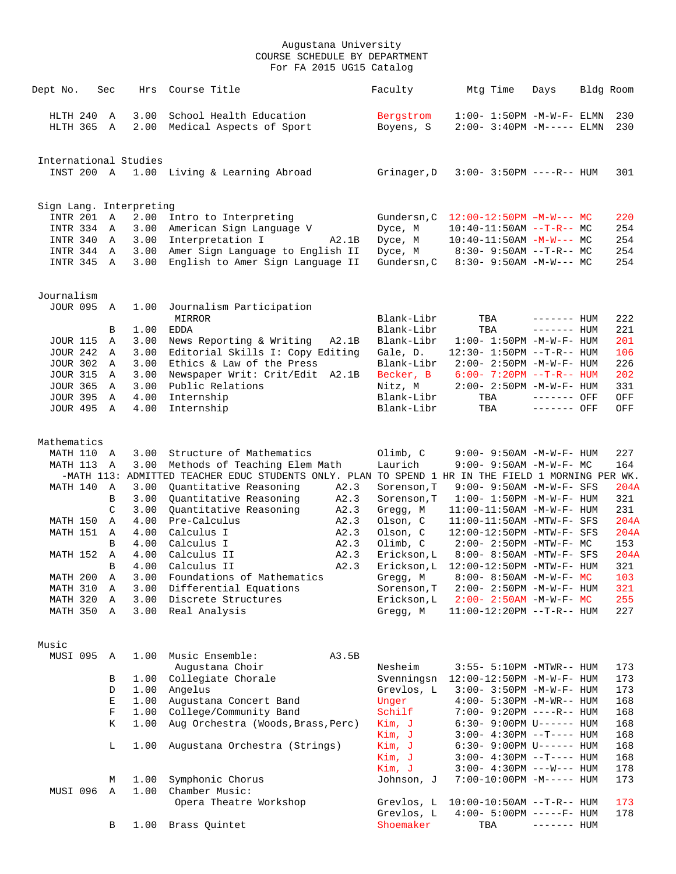| Dept No.             | Sec               | Hrs                     | Course Title                                                                                      | Faculty                  | Mtg Time                                                | Days         | Bldg Room  |
|----------------------|-------------------|-------------------------|---------------------------------------------------------------------------------------------------|--------------------------|---------------------------------------------------------|--------------|------------|
|                      |                   |                         |                                                                                                   |                          |                                                         |              |            |
| HLTH 240             | $\mathbb{A}$      | 3.00                    | School Health Education                                                                           | Bergstrom                | $1:00-1:50PM -M-W-F-ELMN$                               |              | 230        |
| HLTH 365             | Α                 | 2.00                    | Medical Aspects of Sport                                                                          | Boyens, S                | $2:00 - 3:40PM - M--- -$ ELMN                           |              | 230        |
|                      |                   |                         |                                                                                                   |                          |                                                         |              |            |
|                      |                   | International Studies   |                                                                                                   |                          |                                                         |              |            |
| INST 200 A           |                   | 1.00                    | Living & Learning Abroad                                                                          | Grinager, D              | $3:00 - 3:50PM$ ----R-- HUM                             |              | 301        |
|                      |                   |                         |                                                                                                   |                          |                                                         |              |            |
|                      |                   |                         |                                                                                                   |                          |                                                         |              |            |
|                      |                   | Sign Lang. Interpreting |                                                                                                   |                          |                                                         |              |            |
| INTR 201             | $\mathbb A$       | 2.00                    | Intro to Interpreting                                                                             |                          | Gundersn, C 12:00-12:50PM -M-W--- MC                    |              | 220        |
| INTR 334 A           | A                 | 3.00<br>3.00            | American Sign Language V                                                                          | Dyce, M                  | $10:40-11:50AM$ --T-R-- MC                              |              | 254<br>254 |
| INTR 340<br>INTR 344 | A                 | 3.00                    | Interpretation I<br>A2.1B<br>Amer Sign Language to English II                                     | Dyce, M<br>Dyce, M       | $10:40-11:50AM - M-W--- MC$<br>8:30- 9:50AM --T-R-- MC  |              | 254        |
| INTR 345             | A                 | 3.00                    | English to Amer Sign Language II                                                                  | Gundersn, C              | $8:30-9:50AM -M-W--- MC$                                |              | 254        |
|                      |                   |                         |                                                                                                   |                          |                                                         |              |            |
|                      |                   |                         |                                                                                                   |                          |                                                         |              |            |
| Journalism           |                   |                         |                                                                                                   |                          |                                                         |              |            |
| JOUR 095 A           |                   | 1.00                    | Journalism Participation                                                                          |                          |                                                         |              |            |
|                      |                   |                         | MIRROR                                                                                            | Blank-Libr               | TBA                                                     | $------$ HUM | 222<br>221 |
| <b>JOUR 115</b>      | В                 | 1.00                    | <b>EDDA</b>                                                                                       | Blank-Libr<br>Blank-Libr | TBA<br>$1:00 - 1:50PM -M-W-F - HUM$                     | $------$ HUM | 201        |
| <b>JOUR 242</b>      | Α<br>$\mathbb{A}$ | 3.00<br>3.00            | News Reporting & Writing<br>A2.1B<br>Editorial Skills I: Copy Editing                             | Gale, D.                 | 12:30- 1:50PM --T-R-- HUM                               |              | 106        |
| <b>JOUR 302</b>      | A                 | 3.00                    | Ethics & Law of the Press                                                                         | Blank-Libr               | 2:00- 2:50PM -M-W-F- HUM                                |              | 226        |
| <b>JOUR 315</b>      | A                 | 3.00                    | Newspaper Writ: Crit/Edit A2.1B                                                                   | Becker, B                | $6:00 - 7:20PM -T-R-- HUM$                              |              | 202        |
| <b>JOUR 365</b>      | A                 | 3.00                    | Public Relations                                                                                  | Nitz, M                  | 2:00- 2:50PM -M-W-F- HUM                                |              | 331        |
| <b>JOUR 395</b>      | A                 | 4.00                    | Internship                                                                                        | Blank-Libr               | TBA                                                     | ------- OFF  | OFF        |
| JOUR 495             | A                 | 4.00                    | Internship                                                                                        | Blank-Libr               | TBA                                                     | $------$ OFF | OFF        |
|                      |                   |                         |                                                                                                   |                          |                                                         |              |            |
| Mathematics          |                   |                         |                                                                                                   |                          |                                                         |              |            |
| MATH 110             | A                 | 3.00                    | Structure of Mathematics                                                                          | Olimb, C                 | $9:00 - 9:50AM - M - W - F - HUM$                       |              | 227        |
| MATH 113             | A                 | 3.00                    | Methods of Teaching Elem Math                                                                     | Laurich                  | 9:00- 9:50AM -M-W-F- MC                                 |              | 164        |
|                      |                   |                         | -MATH 113: ADMITTED TEACHER EDUC STUDENTS ONLY. PLAN TO SPEND 1 HR IN THE FIELD 1 MORNING PER WK. |                          |                                                         |              |            |
| MATH 140             | $\mathbb{A}$      | 3.00                    | Quantitative Reasoning<br>A2.3                                                                    | Sorenson, T              | $9:00 - 9:50AM - M - W - F - SFS$                       |              | 204A       |
|                      | В                 | 3.00                    | Quantitative Reasoning<br>A2.3                                                                    | Sorenson, T              | $1:00 - 1:50PM -M-W-F- HUM$                             |              | 321        |
|                      | C                 | 3.00                    | Quantitative Reasoning<br>A2.3                                                                    | Gregg, M                 | $11:00-11:50AM$ -M-W-F- HUM                             |              | 231        |
| MATH 150             | Α                 | 4.00                    | Pre-Calculus<br>A2.3                                                                              | Olson, C                 | $11:00-11:50AM$ -MTW-F- SFS                             |              | 204A       |
| MATH 151             | A                 | 4.00                    | Calculus I<br>A2.3                                                                                | Olson, C                 | 12:00-12:50PM -MTW-F- SFS                               |              | 204A       |
|                      | B                 | 4.00                    | Calculus I<br>A2.3                                                                                | Olimb, C                 | $2:00 - 2:50PM - MTW - F - MC$                          |              | 153        |
| MATH 152             | A                 | 4.00                    | Calculus II<br>A2.3                                                                               | Erickson, L              | 8:00- 8:50AM -MTW-F- SFS                                |              | 204A       |
|                      | B                 | 4.00                    | A2.3<br>Calculus II                                                                               | Erickson, L              | 12:00-12:50PM -MTW-F- HUM                               |              | 321        |
| MATH 200             | Α                 | 3.00                    | Foundations of Mathematics                                                                        | Gregg, M                 | $8:00 - 8:50AM - M - W - F - MC$                        |              | 103        |
| MATH 310             | Α                 |                         | 3.00 Differential Equations                                                                       | Sorenson, T              | $2:00 - 2:50PM -M-W-F - HUM$                            |              | 321        |
| MATH 320             | Α                 | 3.00                    | Discrete Structures                                                                               | Erickson,L               | $2:00 - 2:50AM$ -M-W-F- MC                              |              | 255        |
| MATH 350             | Α                 |                         | 3.00 Real Analysis                                                                                | Gregg, M                 | $11:00-12:20PM$ --T-R-- HUM                             |              | 227        |
|                      |                   |                         |                                                                                                   |                          |                                                         |              |            |
| Music                |                   |                         |                                                                                                   |                          |                                                         |              |            |
| MUSI 095             | Α                 | 1.00                    | Music Ensemble:<br>A3.5B                                                                          |                          |                                                         |              |            |
|                      |                   |                         | Augustana Choir                                                                                   | Nesheim                  | 3:55- 5:10PM -MTWR-- HUM                                |              | 173        |
|                      | В                 | 1.00                    | Collegiate Chorale                                                                                | Svenningsn               | $12:00-12:50PM -M-W-F- HUM$                             |              | 173        |
|                      | D                 | 1.00                    | Angelus                                                                                           | Grevlos, L               | 3:00- 3:50PM -M-W-F- HUM                                |              | 173        |
|                      | E                 | 1.00                    | Augustana Concert Band                                                                            | Unger                    | $4:00 - 5:30PM -M-WR-- HUM$                             |              | 168        |
|                      | F                 | 1.00                    | College/Community Band                                                                            | Schilf                   | 7:00- 9:20PM ----R-- HUM                                |              | 168        |
|                      | Κ                 | 1.00                    | Aug Orchestra (Woods, Brass, Perc)                                                                | Kim, J                   | 6:30- 9:00PM U------ HUM                                |              | 168        |
|                      |                   |                         |                                                                                                   | Kim, J                   | $3:00-4:30PM --T--- HUM$                                |              | 168        |
|                      | L                 | 1.00                    | Augustana Orchestra (Strings)                                                                     | Kim, J                   | $6:30-9:00PM$ U------ HUM                               |              | 168        |
|                      |                   |                         |                                                                                                   | Kim, J                   | $3:00-4:30PM -T--- HUM$                                 |              | 168        |
|                      | М                 | 1.00                    | Symphonic Chorus                                                                                  | Kim, J<br>Johnson, J     | $3:00-4:30PM$ ---W--- HUM<br>$7:00-10:00PM -M-----$ HUM |              | 178<br>173 |
| MUSI 096             | A                 | 1.00                    | Chamber Music:                                                                                    |                          |                                                         |              |            |
|                      |                   |                         | Opera Theatre Workshop                                                                            | Grevlos, L               | $10:00-10:50AM$ --T-R-- HUM                             |              | 173        |
|                      |                   |                         |                                                                                                   | Grevlos, L               | $4:00 - 5:00PM$ -----F- HUM                             |              | 178        |
|                      | В                 | 1.00                    | Brass Quintet                                                                                     | Shoemaker                | TBA                                                     | $------$ HUM |            |
|                      |                   |                         |                                                                                                   |                          |                                                         |              |            |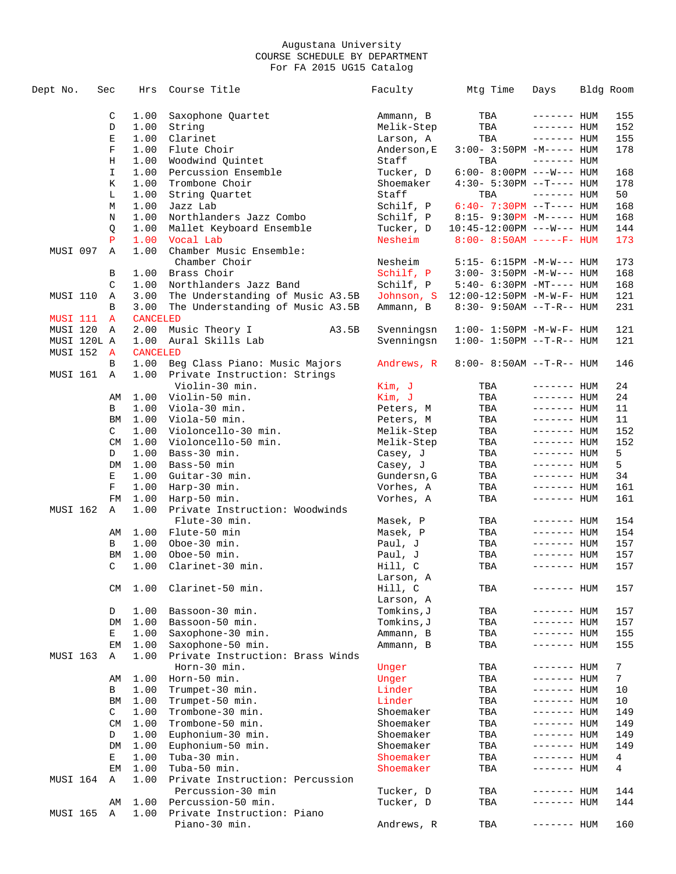| Dept No.        | Sec       | Hrs             | Course Title                          | Faculty     | Mtg Time                              | Days         | Bldg Room       |
|-----------------|-----------|-----------------|---------------------------------------|-------------|---------------------------------------|--------------|-----------------|
|                 | C         | 1.00            | Saxophone Quartet                     | Ammann, B   | TBA                                   | ------- HUM  | 155             |
|                 | D         | 1.00            | String                                | Melik-Step  | TBA                                   | $------HUM$  | 152             |
|                 | Е         | 1.00            | Clarinet                              | Larson, A   | TBA                                   | $------$ HUM | 155             |
|                 | F         | 1.00            | Flute Choir                           | Anderson, E | $3:00 - 3:50PM -M---$ HUM             |              | 178             |
|                 | Η         | 1.00            | Woodwind Quintet                      | Staff       | TBA                                   | $------$ HUM |                 |
|                 | I         | 1.00            | Percussion Ensemble                   | Tucker, D   | $6:00-8:00PM$ ---W--- HUM             |              | 168             |
|                 | Κ         | 1.00            | Trombone Choir                        | Shoemaker   | $4:30 - 5:30PM -T--- HUM$             |              | 178             |
|                 |           |                 |                                       |             |                                       | $------$ HUM |                 |
|                 | L         | 1.00            | String Quartet                        | Staff       | TBA                                   |              | 50              |
|                 | M         | 1.00            | Jazz Lab                              | Schilf, P   | $6:40 - 7:30PM -T--- HUM$             |              | 168             |
|                 | Ν         | 1.00            | Northlanders Jazz Combo               | Schilf, P   | $8:15-9:30PM -M--- HUM$               |              | 168             |
|                 | Q         | 1.00            | Mallet Keyboard Ensemble              | Tucker, D   | $10:45 - 12:00 \text{PM}$ ---W--- HUM |              | 144             |
|                 | P         | 1.00            | Vocal Lab                             | Nesheim     | $8:00 - 8:50AM$ -----F- HUM           |              | 173             |
| MUSI 097        | Α         | 1.00            | Chamber Music Ensemble:               |             |                                       |              |                 |
|                 |           |                 | Chamber Choir                         | Nesheim     | $5:15- 6:15PM -M-W--- HUM$            |              | 173             |
|                 | В         | 1.00            | Brass Choir                           | Schilf, P   | $3:00 - 3:50PM -M-W---$ HUM           |              | 168             |
|                 | C         | 1.00            | Northlanders Jazz Band                | Schilf, P   | $5:40-6:30PM -MT--- HUM$              |              | 168             |
| MUSI 110        | Α         | 3.00            | The Understanding of Music A3.5B      |             | Johnson, S 12:00-12:50PM -M-W-F- HUM  |              | 121             |
|                 | B         | 3.00            | The Understanding of Music A3.5B      | Ammann, B   | $8:30 - 9:50AM -T-R-- HUM$            |              | 231             |
| MUSI 111        | A         | <b>CANCELED</b> |                                       |             |                                       |              |                 |
| MUSI 120        | Α         | 2.00            | A3.5B<br>Music Theory I               | Svenningsn  | $1:00 - 1:50PM - M - W - F - HUM$     |              | 121             |
| MUSI 120L A     |           | 1.00            | Aural Skills Lab                      | Svenningsn  | $1:00 - 1:50PM -T-R--HUM$             |              | 121             |
| MUSI 152        | A         | <b>CANCELED</b> |                                       |             |                                       |              |                 |
|                 | В         | 1.00            | Beg Class Piano: Music Majors         | Andrews, R  | $8:00 - 8:50AM$ --T-R-- HUM           |              | 146             |
| MUSI 161        | A         | 1.00            | Private Instruction: Strings          |             |                                       |              |                 |
|                 |           |                 | Violin-30 min.                        | Kim, J      | TBA                                   | $------$ HUM | 24              |
|                 | AΜ        | 1.00            | Violin-50 min.                        | Kim, J      | TBA                                   | $------$ HUM | 24              |
|                 | В         | 1.00            | Viola-30 min.                         | Peters, M   | TBA                                   | $------HUM$  | 11              |
|                 | ΒM        | 1.00            | Viola-50 min.                         | Peters, M   | TBA                                   | $------HUM$  | 11              |
|                 | C         | 1.00            | Violoncello-30 min.                   | Melik-Step  | TBA                                   | $------$ HUM | 152             |
|                 | CM        | 1.00            | Violoncello-50 min.                   | Melik-Step  | TBA                                   | $------$ HUM | 152             |
|                 | D         | 1.00            | Bass-30 min.                          | Casey, J    | TBA                                   | ------- HUM  | 5               |
|                 | DM        | 1.00            | Bass-50 min                           | Casey, J    | TBA                                   | $------$ HUM | 5               |
|                 | Е         | 1.00            | Guitar-30 min.                        | Gundersn, G | TBA                                   | ------- HUM  | 34              |
|                 | F         | 1.00            | Harp-30 min.                          | Vorhes, A   | TBA                                   | ------- HUM  | 161             |
|                 | FM        | 1.00            | Harp-50 min.                          | Vorhes, A   | TBA                                   | $------$ HUM | 161             |
| <b>MUSI 162</b> | Α         | 1.00            | Private Instruction: Woodwinds        |             |                                       |              |                 |
|                 |           |                 | Flute-30 min.                         | Masek, P    | TBA                                   | $------$ HUM | 154             |
|                 | AΜ        | 1.00            | Flute-50 min                          | Masek, P    | TBA                                   | $------$ HUM | 154             |
|                 | В         | 1.00            | Oboe-30 min.                          | Paul, J     | TBA                                   | ------- HUM  | 157             |
|                 | BM        | 1.00            | Oboe-50 min.                          | Paul, J     | TBA                                   | ------- HUM  | 157             |
|                 | C         | 1.00            | Clarinet-30 min.                      | Hill, C     | TBA                                   | $------$ HUM | 157             |
|                 |           |                 |                                       | Larson, A   |                                       |              |                 |
|                 | CM        | 1.00            | Clarinet-50 min.                      | Hill, C     | TBA                                   | $------$ HUM | 157             |
|                 |           |                 |                                       | Larson, A   |                                       |              |                 |
|                 | D         | 1.00            | Bassoon-30 min.                       | Tomkins, J  | TBA                                   | ------- HUM  | 157             |
|                 | DM        | 1.00            | Bassoon-50 min.                       | Tomkins,J   | TBA                                   | ------- HUM  | 157             |
|                 | Е         | 1.00            | Saxophone-30 min.                     | Ammann, B   | TBA                                   | ------- HUM  | 155             |
|                 | EМ        | 1.00            | Saxophone-50 min.                     | Ammann, B   | TBA                                   | ------- HUM  | 155             |
| MUSI 163        | Α         | 1.00            | Private Instruction: Brass Winds      |             |                                       |              |                 |
|                 |           |                 | Horn-30 min.                          | Unger       | TBA                                   | ------- HUM  | $7\phantom{.0}$ |
|                 | AΜ        | 1.00            | Horn-50 min.                          | Unger       | TBA                                   | ------- HUM  | 7               |
|                 | В         | 1.00            | Trumpet-30 min.                       | Linder      | TBA                                   | ------- HUM  | 10              |
|                 | ΒM        | 1.00            | Trumpet-50 min.                       | Linder      | TBA                                   | ------- HUM  | 10              |
|                 | C         | 1.00            | Trombone-30 min.                      | Shoemaker   | TBA                                   | ------- HUM  | 149             |
|                 | <b>CM</b> |                 |                                       | Shoemaker   |                                       |              |                 |
|                 | D         | 1.00<br>1.00    | Trombone-50 min.<br>Euphonium-30 min. | Shoemaker   | TBA                                   | ------- HUM  | 149             |
|                 |           |                 |                                       |             | TBA                                   | ------- HUM  | 149             |
|                 | DM        | 1.00            | Euphonium-50 min.                     | Shoemaker   | TBA                                   | ------- HUM  | 149             |
|                 | Е         | 1.00            | Tuba-30 min.                          | Shoemaker   | TBA                                   | ------- HUM  | 4               |
|                 | EМ        | 1.00            | Tuba-50 min.                          | Shoemaker   | TBA                                   | ------- HUM  | 4               |
| MUSI 164        | Α         | 1.00            | Private Instruction: Percussion       |             |                                       |              |                 |
|                 |           |                 | Percussion-30 min                     | Tucker, D   | TBA                                   | ------- HUM  | 144             |
|                 | AΜ        | 1.00            | Percussion-50 min.                    | Tucker, D   | TBA                                   | ------- HUM  | 144             |
| MUSI 165        | Α         | 1.00            | Private Instruction: Piano            |             |                                       |              |                 |
|                 |           |                 | Piano-30 min.                         | Andrews, R  | TBA                                   | ------- HUM  | 160             |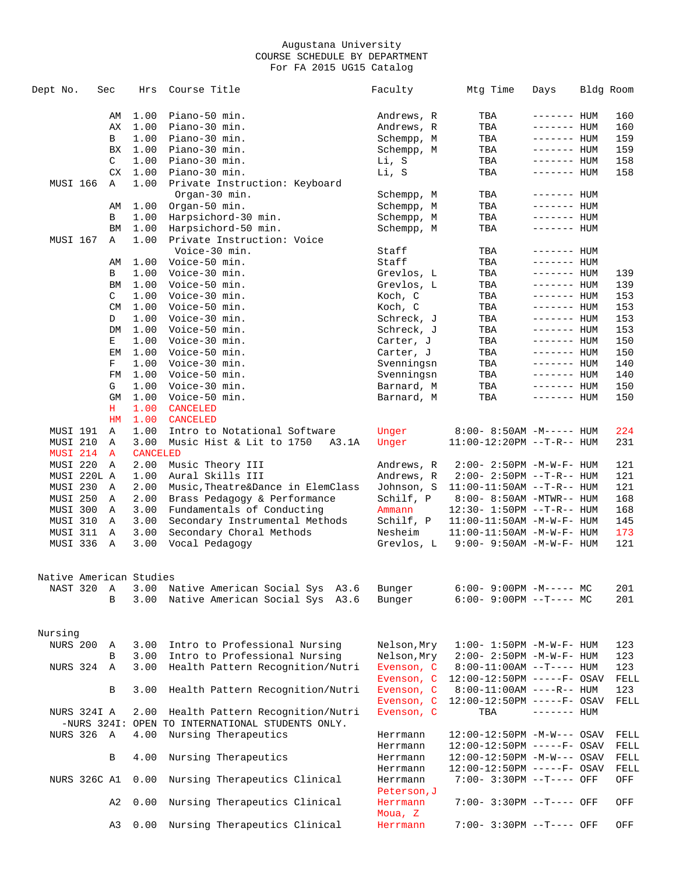| Dept No.                | Sec       | Hrs             | Course Title                                     | Faculty                 | Mtg Time                          | Days         | Bldg Room |      |
|-------------------------|-----------|-----------------|--------------------------------------------------|-------------------------|-----------------------------------|--------------|-----------|------|
|                         | AΜ        | 1.00            | Piano-50 min.                                    | Andrews, R              | TBA                               | $------$ HUM |           | 160  |
|                         | АX        | 1.00            | Piano-30 min.                                    | Andrews, R              | TBA                               | ------- HUM  |           | 160  |
|                         | В         | 1.00            | Piano-30 min.                                    | Schempp, M              | TBA                               | ------- HUM  |           | 159  |
|                         | BX        | 1.00            | Piano-30 min.                                    | Schempp, M              | TBA                               | ------- HUM  |           | 159  |
|                         | C         | 1.00            | Piano-30 min.                                    | Li, S                   | TBA                               | ------- HUM  |           | 158  |
|                         | CX        | 1.00            | Piano-30 min.                                    | Li, S                   | TBA                               | ------- HUM  |           | 158  |
| MUSI 166                | Α         | 1.00            | Private Instruction: Keyboard                    |                         |                                   |              |           |      |
|                         |           |                 | Organ-30 min.                                    | Schempp, M              |                                   |              |           |      |
|                         |           |                 | Organ-50 min.                                    |                         | TBA                               | ------- HUM  |           |      |
|                         | AΜ        | 1.00            |                                                  | Schempp, M              | TBA                               | ------- HUM  |           |      |
|                         | В         | 1.00            | Harpsichord-30 min.                              | Schempp, M              | TBA                               | ------- HUM  |           |      |
|                         | BM        | 1.00            | Harpsichord-50 min.                              | Schempp, M              | TBA                               | ------- HUM  |           |      |
| MUSI 167                | Α         | 1.00            | Private Instruction: Voice                       |                         |                                   |              |           |      |
|                         |           |                 | Voice-30 min.                                    | Staff                   | TBA                               | ------- HUM  |           |      |
|                         | AΜ        | 1.00            | Voice-50 min.                                    | Staff                   | TBA                               | $------$ HUM |           |      |
|                         | В         | 1.00            | Voice-30 min.                                    | Grevlos, L              | TBA                               | ------- HUM  |           | 139  |
|                         | BM        | 1.00            | Voice-50 min.                                    | Grevlos, L              | TBA                               | $------$ HUM |           | 139  |
|                         | C         | 1.00            | Voice-30 min.                                    | Koch, C                 | TBA                               | $------$ HUM |           | 153  |
|                         | <b>CM</b> | 1.00            | Voice-50 min.                                    | Koch, C                 | TBA                               | ------- HUM  |           | 153  |
|                         | D         | 1.00            | Voice-30 min.                                    | Schreck, J              | TBA                               | ------- HUM  |           | 153  |
|                         | DM        | 1.00            | Voice-50 min.                                    | Schreck, J              | TBA                               | $------$ HUM |           | 153  |
|                         | Е         | 1.00            | Voice-30 min.                                    | Carter, J               | TBA                               | $------$ HUM |           | 150  |
|                         | EМ        | 1.00            | Voice-50 min.                                    | Carter, J               | TBA                               | $------$ HUM |           | 150  |
|                         | F         | 1.00            | Voice-30 min.                                    | Svenningsn              | TBA                               | ------- HUM  |           | 140  |
|                         | FM        | 1.00            | Voice-50 min.                                    | Svenningsn              | TBA                               | $------$ HUM |           | 140  |
|                         | G         | 1.00            | Voice-30 min.                                    | Barnard, M              | TBA                               | ------- HUM  |           | 150  |
|                         | GM        | 1.00            | Voice-50 min.                                    | Barnard, M              | TBA                               | ------- HUM  |           | 150  |
|                         | н         | 1.00            | <b>CANCELED</b>                                  |                         |                                   |              |           |      |
|                         | HM        | 1.00            | CANCELED                                         |                         |                                   |              |           |      |
| MUSI 191                | Α         | 1.00            | Intro to Notational Software                     | Unger                   | $8:00 - 8:50AM - M---$ HUM        |              |           | 224  |
| MUSI 210                |           | 3.00            | Music Hist & Lit to 1750                         |                         |                                   |              |           |      |
|                         | Α         |                 | A3.1A                                            | Unger                   | $11:00-12:20PM -T-R--HUM$         |              |           | 231  |
| MUSI 214                | A         | <b>CANCELED</b> |                                                  |                         |                                   |              |           |      |
| MUSI 220                | Α         | 2.00            | Music Theory III                                 | Andrews, R              | $2:00 - 2:50PM -M-W-F - HUM$      |              |           | 121  |
| MUSI 220L A             |           | 1.00            | Aural Skills III                                 | Andrews, R              | 2:00- 2:50PM --T-R-- HUM          |              |           | 121  |
| MUSI 230                | Α         | 2.00            | Music, Theatre&Dance in ElemClass                | Johnson, S              | $11:00-11:50AM$ --T-R-- HUM       |              |           | 121  |
| MUSI 250                | Α         | 2.00            | Brass Pedagogy & Performance                     | Schilf, P               | 8:00- 8:50AM -MTWR-- HUM          |              |           | 168  |
| MUSI 300                | Α         | 3.00            | Fundamentals of Conducting                       | Ammann                  | 12:30- 1:50PM --T-R-- HUM         |              |           | 168  |
| MUSI 310                | Α         | 3.00            | Secondary Instrumental Methods                   | Schilf, P               | 11:00-11:50AM -M-W-F- HUM         |              |           | 145  |
| MUSI 311                | Α         | 3.00            | Secondary Choral Methods                         | Nesheim                 | $11:00-11:50AM$ -M-W-F- HUM       |              |           | 173  |
| MUSI 336                | Α         | 3.00            | Vocal Pedagogy                                   | Grevlos, L              | $9:00 - 9:50AM - M - W - F - HUM$ |              |           | 121  |
| Native American Studies |           |                 |                                                  |                         |                                   |              |           |      |
| NAST 320                | Α         | 3.00            | Native American Social Sys A3.6                  | Bunger                  | $6:00-9:00PM -M--- MC$            |              |           | 201  |
|                         | B         | 3.00            | Native American Social Sys A3.6                  | Bunger                  | $6:00-9:00PM$ --T---- MC          |              |           | 201  |
| Nursing                 |           |                 |                                                  |                         |                                   |              |           |      |
| <b>NURS 200</b>         | Α         | 3.00            | Intro to Professional Nursing                    | Nelson, Mry             | $1:00 - 1:50PM - M - W - F - HUM$ |              |           | 123  |
|                         | B         | 3.00            | Intro to Professional Nursing                    | Nelson, Mry             | $2:00 - 2:50PM -M-W-F - HUM$      |              |           | 123  |
| NURS 324                | Α         | 3.00            | Health Pattern Recognition/Nutri                 | Evenson, C              | $8:00-11:00AM$ --T---- HUM        |              |           | 123  |
|                         |           |                 |                                                  | Evenson, C              | 12:00-12:50PM -----F- OSAV        |              |           | FELL |
|                         | В         | 3.00            | Health Pattern Recognition/Nutri                 | Evenson, C              | $8:00-11:00AM$ ----R-- HUM        |              |           | 123  |
|                         |           |                 |                                                  | Evenson, C              |                                   |              |           |      |
|                         |           |                 |                                                  |                         | $12:00-12:50PM$ -----F- OSAV      |              |           | FELL |
| NURS 324I A             |           | 2.00            | Health Pattern Recognition/Nutri                 | Evenson, C              | TBA                               | $------$ HUM |           |      |
|                         |           |                 | -NURS 324I: OPEN TO INTERNATIONAL STUDENTS ONLY. |                         |                                   |              |           |      |
| NURS 326                | A         | 4.00            | Nursing Therapeutics                             | Herrmann                | $12:00-12:50PM -M-W--- OSAV$      |              |           | FELL |
|                         |           |                 |                                                  | Herrmann                | $12:00-12:50PM$ -----F- OSAV      |              |           | FELL |
|                         | В         | 4.00            | Nursing Therapeutics                             | Herrmann                | 12:00-12:50PM -M-W--- OSAV        |              |           | FELL |
|                         |           |                 |                                                  | Herrmann                | $12:00-12:50PM$ -----F- OSAV      |              |           | FELL |
| NURS 326C A1            |           | 0.00            | Nursing Therapeutics Clinical                    | Herrmann<br>Peterson, J | 7:00- 3:30PM --T---- OFF          |              |           | OFF  |
|                         | A2        | 0.00            | Nursing Therapeutics Clinical                    | Herrmann<br>Moua, Z     | 7:00- 3:30PM --T---- OFF          |              |           | OFF  |
|                         | A3        | 0.00            | Nursing Therapeutics Clinical                    | Herrmann                | 7:00- 3:30PM --T---- OFF          |              |           | OFF  |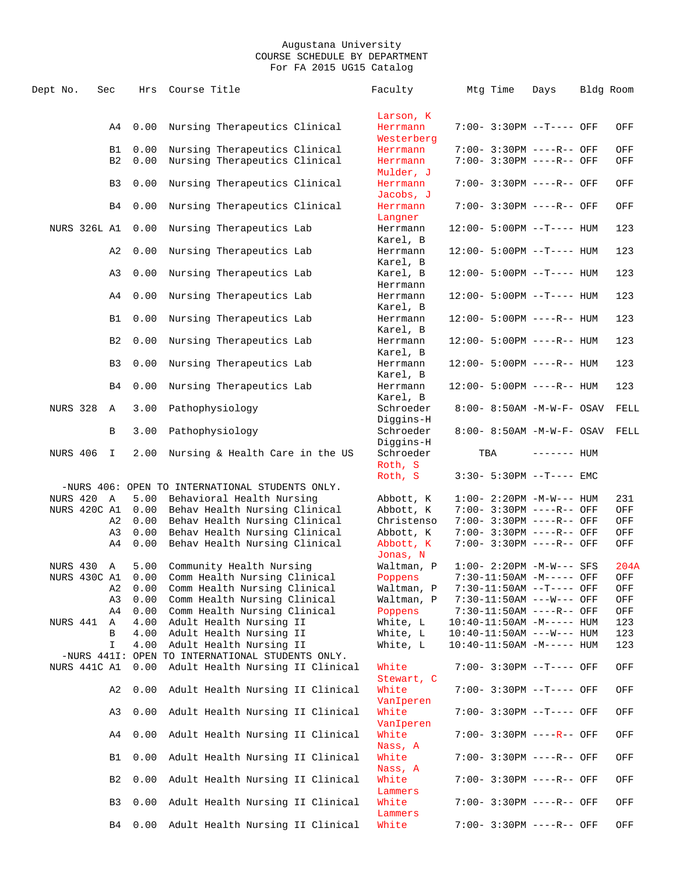| Dept No.            | Sec |                | Hrs  | Course Title                                                                         | Faculty                          | Mtg Time | Days                               | Bldg Room |
|---------------------|-----|----------------|------|--------------------------------------------------------------------------------------|----------------------------------|----------|------------------------------------|-----------|
|                     |     |                |      |                                                                                      | Larson, K                        |          |                                    |           |
|                     |     | A4             | 0.00 | Nursing Therapeutics Clinical                                                        | Herrmann<br>Westerberg           |          | $7:00 - 3:30PM -T---$ OFF          | OFF       |
|                     |     | B1             | 0.00 | Nursing Therapeutics Clinical                                                        | Herrmann                         |          | 7:00- 3:30PM ----R-- OFF           | OFF       |
|                     |     | B <sub>2</sub> | 0.00 | Nursing Therapeutics Clinical                                                        | Herrmann<br>Mulder, J            |          | 7:00- 3:30PM ----R-- OFF           | OFF       |
|                     |     | B <sub>3</sub> | 0.00 | Nursing Therapeutics Clinical                                                        | Herrmann<br>Jacobs, J            |          | 7:00- 3:30PM ----R-- OFF           | OFF       |
|                     |     | B4             | 0.00 | Nursing Therapeutics Clinical                                                        | Herrmann<br>Langner              |          | 7:00- 3:30PM ----R-- OFF           | OFF       |
| <b>NURS 326L A1</b> |     |                | 0.00 | Nursing Therapeutics Lab                                                             | Herrmann<br>Karel, B             |          | $12:00 - 5:00PM -T--- HUM$         | 123       |
|                     |     | A2             | 0.00 | Nursing Therapeutics Lab                                                             | Herrmann<br>Karel, B             |          | $12:00 - 5:00PM -T--- HUM$         | 123       |
|                     |     | A3             | 0.00 | Nursing Therapeutics Lab                                                             | Karel, B<br>Herrmann             |          | 12:00- 5:00PM --T---- HUM          | 123       |
|                     |     | A4             | 0.00 | Nursing Therapeutics Lab                                                             | Herrmann<br>Karel, B             |          | $12:00 - 5:00PM -T--- HUM$         | 123       |
|                     |     | B1             | 0.00 | Nursing Therapeutics Lab                                                             | Herrmann<br>Karel, B             |          | $12:00 - 5:00PM$ ----R-- HUM       | 123       |
|                     |     | B <sub>2</sub> | 0.00 | Nursing Therapeutics Lab                                                             | Herrmann<br>Karel, B             |          | $12:00 - 5:00PM$ ----R-- HUM       | 123       |
|                     |     | B <sub>3</sub> | 0.00 | Nursing Therapeutics Lab                                                             | Herrmann<br>Karel, B             |          | 12:00- 5:00PM ----R-- HUM          | 123       |
|                     |     | B4             | 0.00 | Nursing Therapeutics Lab                                                             | Herrmann<br>Karel, B             |          | $12:00 - 5:00PM$ ----R-- HUM       | 123       |
| <b>NURS 328</b>     |     | A              | 3.00 | Pathophysiology                                                                      | Schroeder<br>Diggins-H           |          | $8:00 - 8:50AM - M - W - F - OSAV$ | FELL      |
|                     |     | В              | 3.00 | Pathophysiology                                                                      | Schroeder<br>Diggins-H           |          | 8:00- 8:50AM -M-W-F- OSAV          | FELL      |
| NURS 406            |     | $\mathbf I$    | 2.00 | Nursing & Health Care in the US                                                      | Schroeder<br>Roth, S             | TBA      | ------- <b>HUM</b>                 |           |
|                     |     |                |      |                                                                                      | Roth, S                          |          | $3:30 - 5:30PM -T--- EMC$          |           |
|                     |     |                |      | -NURS 406: OPEN TO INTERNATIONAL STUDENTS ONLY.                                      |                                  |          |                                    |           |
| NURS 420 A          |     |                | 5.00 | Behavioral Health Nursing                                                            | Abbott, K                        |          | $1:00-2:20PM -M-W---$ HUM          | 231       |
| NURS 420C A1        |     |                | 0.00 | Behav Health Nursing Clinical                                                        | Abbott, K                        |          | 7:00- 3:30PM ----R-- OFF           | OFF       |
|                     |     | A2             | 0.00 | Behav Health Nursing Clinical                                                        | Christenso                       |          | 7:00- 3:30PM ----R-- OFF           | OFF       |
|                     |     | A3             | 0.00 | Behav Health Nursing Clinical                                                        | Abbott, K                        |          | 7:00- 3:30PM ----R-- OFF           | OFF       |
|                     |     | A4             | 0.00 | Behav Health Nursing Clinical                                                        | Abbott, K<br>Jonas, N            |          | 7:00- 3:30PM ----R-- OFF           | OFF       |
| NURS 430 A          |     |                | 5.00 | Community Health Nursing                                                             | Waltman, P                       |          | $1:00-2:20PM -M-W---$ SFS          | 204A      |
| NURS 430C A1        |     |                | 0.00 | Comm Health Nursing Clinical                                                         | Poppens                          |          | 7:30-11:50AM -M----- OFF           | OFF       |
|                     |     | A2             | 0.00 | Comm Health Nursing Clinical                                                         | Waltman, P                       |          | 7:30-11:50AM --T---- OFF           | OFF       |
|                     |     | A3             | 0.00 | Comm Health Nursing Clinical                                                         | Waltman, P                       |          | 7:30-11:50AM ---W--- OFF           | OFF       |
|                     |     | A4             | 0.00 | Comm Health Nursing Clinical                                                         | Poppens                          |          | 7:30-11:50AM ----R-- OFF           | OFF       |
| NURS 441            |     | A              | 4.00 | Adult Health Nursing II                                                              | White, L                         |          | $10:40-11:50AM -M---$ HUM          | 123       |
|                     |     | В              | 4.00 | Adult Health Nursing II                                                              | White, L                         |          | $10:40-11:50AM$ ---W--- HUM        | 123       |
|                     |     | I.             | 4.00 | Adult Health Nursing II                                                              | White, L                         |          | $10:40-11:50AM - M---$ HUM         | 123       |
| NURS 441C A1        |     |                | 0.00 | -NURS 441I: OPEN TO INTERNATIONAL STUDENTS ONLY.<br>Adult Health Nursing II Clinical | White                            |          | 7:00- 3:30PM --T---- OFF           | OFF       |
|                     |     | A2             | 0.00 | Adult Health Nursing II Clinical                                                     | Stewart, C<br>White<br>VanIperen |          | 7:00- 3:30PM --T---- OFF           | OFF       |
|                     |     | A3             | 0.00 | Adult Health Nursing II Clinical                                                     | White<br>VanIperen               |          | 7:00- 3:30PM --T---- OFF           | OFF       |
|                     |     | A4             | 0.00 | Adult Health Nursing II Clinical                                                     | White                            |          | 7:00- 3:30PM ----R-- OFF           | OFF       |
|                     |     | B1             | 0.00 | Adult Health Nursing II Clinical                                                     | Nass, A<br>White<br>Nass, A      |          | 7:00- 3:30PM ----R-- OFF           | OFF       |
|                     |     | B2             | 0.00 | Adult Health Nursing II Clinical                                                     | White<br>Lammers                 |          | 7:00- 3:30PM ----R-- OFF           | OFF       |
|                     |     | B3             | 0.00 | Adult Health Nursing II Clinical                                                     | White<br>Lammers                 |          | 7:00- 3:30PM ----R-- OFF           | OFF       |
|                     |     | B4             | 0.00 | Adult Health Nursing II Clinical                                                     | White                            |          | 7:00- 3:30PM ----R-- OFF           | OFF       |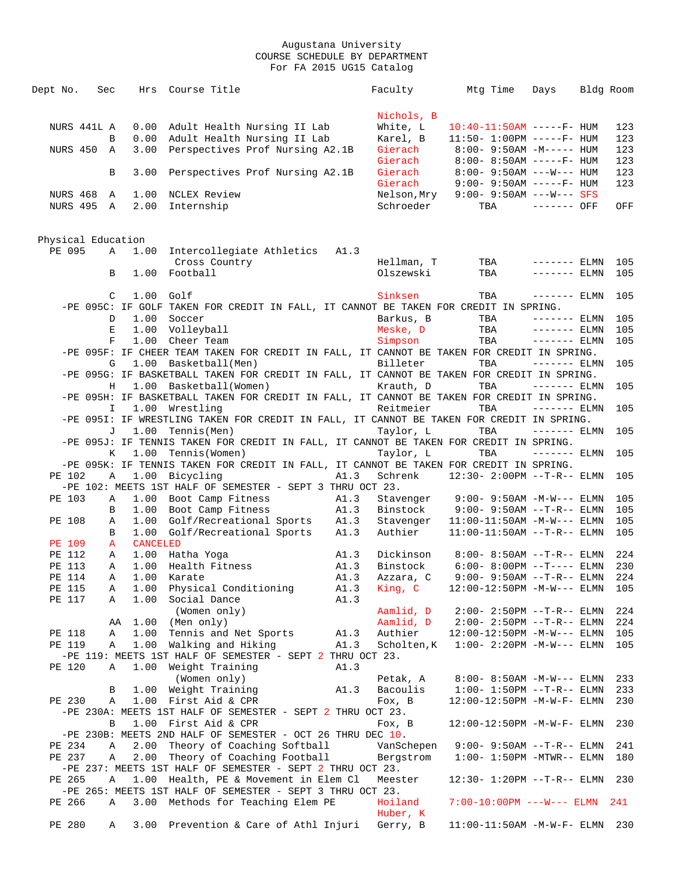| Dept No.           | Sec         |        |                 | Hrs Course Title                                                                           | Faculty     | Mtg Time                                                 | Days          | Bldg Room  |
|--------------------|-------------|--------|-----------------|--------------------------------------------------------------------------------------------|-------------|----------------------------------------------------------|---------------|------------|
|                    |             |        |                 |                                                                                            |             |                                                          |               |            |
|                    |             |        |                 |                                                                                            | Nichols, B  |                                                          |               |            |
|                    | NURS 441L A |        |                 | 0.00 Adult Health Nursing II Lab                                                           | White, L    | $10:40-11:50AM$ -----F- HUM                              |               | 123        |
|                    |             | B      | 0.00            | Adult Health Nursing II Lab                                                                | Karel, B    | $11:50 - 1:00PM$ -----F- HUM                             |               | 123        |
| NURS 450           | A           |        | 3.00            | Perspectives Prof Nursing A2.1B                                                            | Gierach     | $8:00 - 9:50AM - M--- HUM$                               |               | 123        |
|                    |             |        |                 |                                                                                            | Gierach     | $8:00 - 8:50AM$ -----F- HUM                              |               | 123        |
|                    |             | B      | 3.00            | Perspectives Prof Nursing A2.1B                                                            | Gierach     | $8:00-9:50AM$ ---W--- HUM                                |               | 123        |
|                    |             |        |                 |                                                                                            | Gierach     | $9:00 - 9:50AM$ -----F- HUM                              |               | 123        |
| <b>NURS 468</b>    | A           |        | 1.00            | NCLEX Review                                                                               | Nelson,Mry  | $9:00 - 9:50AM$ ---W--- SFS                              |               |            |
|                    | NURS 495 A  |        | 2.00            | Internship                                                                                 | Schroeder   | TBA                                                      | ------- OFF   | OFF        |
|                    |             |        |                 |                                                                                            |             |                                                          |               |            |
|                    |             |        |                 |                                                                                            |             |                                                          |               |            |
| Physical Education |             |        |                 |                                                                                            |             |                                                          |               |            |
| PE 095             |             | Α      | 1.00            | Intercollegiate Athletics A1.3                                                             |             |                                                          |               |            |
|                    |             |        |                 | Cross Country                                                                              | Hellman, T  | TBA                                                      | $------ELMN$  | 105        |
|                    |             | B      | 1.00            | Football                                                                                   | Olszewski   | TBA                                                      | $------$ ELMN | 105        |
|                    |             |        |                 |                                                                                            |             |                                                          |               |            |
|                    |             | C      | $1.00$ Golf     |                                                                                            | Sinksen     | TBA                                                      | $------ELMN$  | 105        |
|                    |             |        |                 | -PE 095C: IF GOLF TAKEN FOR CREDIT IN FALL, IT CANNOT BE TAKEN FOR CREDIT IN SPRING.       |             |                                                          |               |            |
|                    |             | D      | 1.00            | Soccer                                                                                     | Barkus, B   | TBA                                                      | $------$ ELMN | 105        |
|                    |             | Е      | 1.00            | Volleyball                                                                                 | Meske, D    | TBA                                                      | $------ELMN$  | 105        |
|                    |             | F      | 1.00            | Cheer Team                                                                                 | Simpson     | TBA                                                      | $------$ ELMN | 105        |
|                    |             |        |                 | -PE 095F: IF CHEER TEAM TAKEN FOR CREDIT IN FALL, IT CANNOT BE TAKEN FOR CREDIT IN SPRING. |             |                                                          |               |            |
|                    |             | G      | 1.00            | Basketball(Men)                                                                            | Billeter    | TBA                                                      | $------ELMN$  | 105        |
|                    |             |        |                 | -PE 095G: IF BASKETBALL TAKEN FOR CREDIT IN FALL, IT CANNOT BE TAKEN FOR CREDIT IN SPRING. |             |                                                          |               |            |
|                    |             | Н      |                 | 1.00 Basketball(Women)                                                                     | Krauth, D   | TBA                                                      | $------ELMN$  | 105        |
|                    |             |        |                 | -PE 095H: IF BASKETBALL TAKEN FOR CREDIT IN FALL, IT CANNOT BE TAKEN FOR CREDIT IN SPRING. |             |                                                          |               |            |
|                    |             | I.     |                 | 1.00 Wrestling                                                                             | Reitmeier   | TBA                                                      | $------ELMN$  | 105        |
|                    |             |        |                 | -PE 095I: IF WRESTLING TAKEN FOR CREDIT IN FALL, IT CANNOT BE TAKEN FOR CREDIT IN SPRING.  |             |                                                          |               |            |
|                    |             | J      | 1.00            | Tennis (Men)                                                                               | Taylor, L   | TBA                                                      | $------ELMN$  | 105        |
|                    |             |        |                 | -PE 095J: IF TENNIS TAKEN FOR CREDIT IN FALL, IT CANNOT BE TAKEN FOR CREDIT IN SPRING.     |             |                                                          |               |            |
|                    |             | К      | 1.00            | Tennis(Women)                                                                              | Taylor, L   | TBA                                                      | $------$ ELMN | 105        |
|                    |             |        |                 | -PE 095K: IF TENNIS TAKEN FOR CREDIT IN FALL, IT CANNOT BE TAKEN FOR CREDIT IN SPRING.     |             |                                                          |               |            |
| PE 102             |             | Α      | 1.00            | Bicycling<br>A1.3                                                                          |             | Schrenk 12:30- 2:00PM -- T-R-- ELMN                      |               | 105        |
|                    |             |        |                 | -PE 102: MEETS 1ST HALF OF SEMESTER - SEPT 3 THRU OCT 23.                                  |             |                                                          |               |            |
| PE 103             |             | Α      | 1.00            | Boot Camp Fitness<br>A1.3                                                                  |             | Stavenger 9:00-9:50AM -M-W--- ELMN                       |               | 105        |
|                    |             | B      | 1.00            | Boot Camp Fitness<br>A1.3                                                                  |             | Binstock 9:00- 9:50AM --T-R-- ELMN                       |               | 105        |
| PE 108             |             | Α      |                 | 1.00 Golf/Recreational Sports A1.3<br>1.00 Golf/Recreational Sports A1.3                   | Stavenger   | $11:00-11:50AM -M-W---$ ELMN                             |               | 105        |
|                    |             | B      | <b>CANCELED</b> |                                                                                            | Authier     | $11:00-11:50AM$ --T-R-- ELMN                             |               | 105        |
| <b>PE 109</b>      |             | A      |                 |                                                                                            |             |                                                          |               |            |
| PE 112             |             | Α      | 1.00            | 1.00 Hatha Yoga<br>A1.3                                                                    | Dickinson   | $8:00 - 8:50AM$ --T-R-- ELMN                             |               | 224        |
| PE 113             |             | Α      |                 | Health Fitness<br>A1.3                                                                     | Binstock    | $6:00 - 8:00PM -T--- ELMN$<br>$9:00 - 9:50AM -T-R--ELMN$ |               | 230        |
| PE 114             |             |        |                 | A 1.00 Karate<br>A1.3                                                                      | Azzara, C   |                                                          |               | 224<br>105 |
| PE 115<br>PE 117   |             | Α<br>Α |                 | 1.00 Physical Conditioning<br>A1.3<br>1.00 Social Dance<br>A1.3                            | King, C     | $12:00-12:50PM -M-W---$ ELMN                             |               |            |
|                    |             |        |                 | (Women only)                                                                               | Aamlid, D   | $2:00-2:50PM -T-R--ELMN$                                 |               | 224        |
|                    |             | AA     | 1.00            | (Men only)                                                                                 | Aamlid, D   | $2:00-2:50PM -T-R--ELMN$                                 |               | 224        |
| PE 118             |             | Α      |                 | 1.00 Tennis and Net Sports<br>A1.3                                                         | Authier     | $12:00-12:50PM -M-W---$ ELMN                             |               | 105        |
| PE 119             |             | Α      |                 | 1.00 Walking and Hiking<br>A1.3                                                            | Scholten, K | $1:00-2:20PM -M-W---$ ELMN                               |               | 105        |
|                    |             |        |                 | -PE 119: MEETS 1ST HALF OF SEMESTER - SEPT 2 THRU OCT 23.                                  |             |                                                          |               |            |
| PE 120             |             | Α      | 1.00            | Weight Training<br>A1.3                                                                    |             |                                                          |               |            |
|                    |             |        |                 | (Women only)                                                                               | Petak, A    | $8:00-8:50AM$ -M-W--- ELMN                               |               | 233        |
|                    |             | B      |                 | 1.00 Weight Training<br>A1.3                                                               | Bacoulis    | $1:00 - 1:50PM -T-R-- ELMN$                              |               | 233        |
| PE 230             |             | Α      |                 | 1.00 First Aid & CPR                                                                       | Fox, B      | 12:00-12:50PM -M-W-F- ELMN                               |               | 230        |
|                    |             |        |                 | -PE 230A: MEETS 1ST HALF OF SEMESTER - SEPT 2 THRU OCT 23.                                 |             |                                                          |               |            |
|                    |             | В      |                 | 1.00 First Aid & CPR                                                                       | Fox, B      | $12:00-12:50PM -M-W-F- ELMN$                             |               | 230        |
|                    |             |        |                 | -PE 230B: MEETS 2ND HALF OF SEMESTER - OCT 26 THRU DEC 10.                                 |             |                                                          |               |            |
| PE 234             |             | Α      |                 | 2.00 Theory of Coaching Softball                                                           | VanSchepen  | $9:00 - 9:50AM -T-R--ELMN$                               |               | 241        |
| PE 237             |             | Α      |                 | 2.00 Theory of Coaching Football                                                           | Bergstrom   | $1:00-1:50PM$ -MTWR-- ELMN                               |               | 180        |
|                    |             |        |                 | -PE 237: MEETS 1ST HALF OF SEMESTER - SEPT 2 THRU OCT 23.                                  |             |                                                          |               |            |
| PE 265             |             | Α      |                 | 1.00 Health, PE & Movement in Elem Cl                                                      | Meester     | $12:30 - 1:20PM -T-R-- ELMN$                             |               | 230        |
|                    |             |        |                 | -PE 265: MEETS 1ST HALF OF SEMESTER - SEPT 3 THRU OCT 23.                                  |             |                                                          |               |            |
| PE 266             |             | Α      |                 | 3.00 Methods for Teaching Elem PE                                                          | Hoiland     | $7:00-10:00PM$ ---W--- ELMN                              |               | 241        |
|                    |             |        |                 |                                                                                            | Huber, K    |                                                          |               |            |
| PE 280             |             | Α      |                 | 3.00 Prevention & Care of Athl Injuri                                                      | Gerry, B    | $11:00-11:50AM$ -M-W-F- ELMN                             |               | 230        |
|                    |             |        |                 |                                                                                            |             |                                                          |               |            |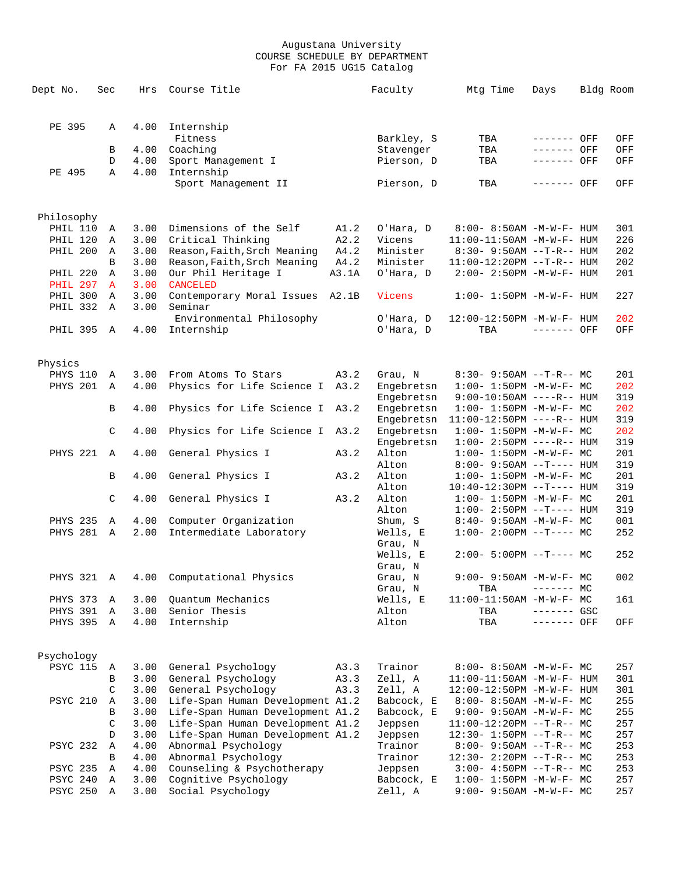| Dept No.                           | Sec                          | Hrs          | Course Title                                 |       | Faculty                  | Mtg Time                                                 | Days         | Bldg Room |            |
|------------------------------------|------------------------------|--------------|----------------------------------------------|-------|--------------------------|----------------------------------------------------------|--------------|-----------|------------|
|                                    |                              |              |                                              |       |                          |                                                          |              |           |            |
|                                    |                              |              |                                              |       |                          |                                                          |              |           |            |
| PE 395                             | Α                            |              | 4.00 Internship                              |       |                          |                                                          |              |           |            |
|                                    |                              |              | Fitness                                      |       | Barkley, S               | TBA                                                      | ------- OFF  |           | OFF        |
|                                    | В                            | 4.00         | Coaching                                     |       | Stavenger                | TBA                                                      | ------- OFF  |           | OFF        |
|                                    | D                            | 4.00         | Sport Management I                           |       | Pierson, D               | TBA                                                      | ------- OFF  |           | OFF        |
| PE 495                             | Α                            | 4.00         | Internship<br>Sport Management II            |       | Pierson, D               | TBA                                                      | ------- OFF  |           | OFF        |
|                                    |                              |              |                                              |       |                          |                                                          |              |           |            |
|                                    |                              |              |                                              |       |                          |                                                          |              |           |            |
| Philosophy                         |                              |              |                                              |       |                          |                                                          |              |           |            |
| PHIL 110                           | A                            | 3.00         | Dimensions of the Self                       | A1.2  | O'Hara, D                | $8:00 - 8:50AM - M - W - F - HUM$                        |              |           | 301        |
| PHIL 120                           | Α                            | 3.00         | Critical Thinking                            | A2.2  | Vicens                   | $11:00-11:50AM$ -M-W-F- HUM                              |              |           | 226        |
| PHIL 200                           | A                            | 3.00         | Reason, Faith, Srch Meaning                  | A4.2  | Minister                 | $8:30 - 9:50AM -T-R-- HUM$                               |              |           | 202        |
|                                    | B                            | 3.00         | Reason, Faith, Srch Meaning                  | A4.2  | Minister                 | 11:00-12:20PM --T-R-- HUM                                |              |           | 202        |
| <b>PHIL 220</b><br><b>PHIL 297</b> | Α                            | 3.00         | Our Phil Heritage I                          | A3.1A | O'Hara, D                | $2:00 - 2:50PM -M-W-F - HUM$                             |              |           | 201        |
| PHIL 300                           | $\mathbf{A}$<br>$\mathbb{A}$ | 3.00         | <b>CANCELED</b><br>Contemporary Moral Issues |       |                          | $1:00 - 1:50PM -M-W-F - HUM$                             |              |           | 227        |
| PHIL 332                           | A                            | 3.00<br>3.00 | Seminar                                      | A2.1B | Vicens                   |                                                          |              |           |            |
|                                    |                              |              | Environmental Philosophy                     |       | O'Hara, D                | 12:00-12:50PM -M-W-F- HUM                                |              |           | 202        |
| PHIL 395 A                         |                              | 4.00         | Internship                                   |       | O'Hara, D                | TBA                                                      | $------$ OFF |           | OFF        |
|                                    |                              |              |                                              |       |                          |                                                          |              |           |            |
|                                    |                              |              |                                              |       |                          |                                                          |              |           |            |
| Physics                            |                              |              |                                              |       |                          |                                                          |              |           |            |
| PHYS 110                           | A                            | 3.00         | From Atoms To Stars                          | A3.2  | Grau, N                  | $8:30-9:50AM --T-R--MC$                                  |              |           | 201        |
| PHYS 201                           | $\mathbb{A}$                 | 4.00         | Physics for Life Science I                   | A3.2  | Engebretsn               | $1:00 - 1:50PM -M-W-F - MC$                              |              |           | 202        |
|                                    |                              |              |                                              |       | Engebretsn               | $9:00-10:50AM$ ----R-- HUM                               |              |           | 319        |
|                                    | B                            | 4.00         | Physics for Life Science I                   | A3.2  | Engebretsn               | $1:00 - 1:50PM -M-W-F - MC$                              |              |           | 202        |
|                                    |                              |              |                                              |       | Engebretsn               | $11:00-12:50PM$ ----R-- HUM                              |              |           | 319        |
|                                    | C                            | 4.00         | Physics for Life Science I                   | A3.2  | Engebretsn<br>Engebretsn | $1:00 - 1:50PM -M-W-F - MC$<br>$1:00-2:50PM$ ----R-- HUM |              |           | 202<br>319 |
| PHYS 221                           | $\overline{A}$               | 4.00         | General Physics I                            | A3.2  | Alton                    | $1:00 - 1:50PM -M-W-F - MC$                              |              |           | 201        |
|                                    |                              |              |                                              |       | Alton                    | $8:00 - 9:50AM -T--- HUM$                                |              |           | 319        |
|                                    | B                            | 4.00         | General Physics I                            | A3.2  | Alton                    | $1:00-1:50PM -M-W-F-MC$                                  |              |           | 201        |
|                                    |                              |              |                                              |       | Alton                    | $10:40-12:30PM$ --T---- HUM                              |              |           | 319        |
|                                    | C                            | 4.00         | General Physics I                            | A3.2  | Alton                    | $1:00 - 1:50PM -M-W-F - MC$                              |              |           | 201        |
|                                    |                              |              |                                              |       | Alton                    | $1:00-2:50PM -T--- HUM$                                  |              |           | 319        |
| <b>PHYS 235</b>                    | Α                            | 4.00         | Computer Organization                        |       | Shum, S                  | $8:40 - 9:50AM - M - W - F - MC$                         |              |           | 001        |
| <b>PHYS 281</b>                    | A                            | 2.00         | Intermediate Laboratory                      |       | Wells, E                 | $1:00-2:00PM$ --T---- MC                                 |              |           | 252        |
|                                    |                              |              |                                              |       | Grau, N                  |                                                          |              |           |            |
|                                    |                              |              |                                              |       | Wells, E                 | $2:00 - 5:00PM -T--- MC$                                 |              |           | 252        |
|                                    |                              |              |                                              |       | Grau, N                  |                                                          |              |           |            |
| PHYS 321 A                         |                              | 4.00         | Computational Physics                        |       | Grau, N                  | $9:00 - 9:50AM - M - W - F - MC$                         |              |           | 002        |
|                                    |                              |              |                                              |       | Grau, N                  | TBA                                                      | $------$ MC  |           |            |
| PHYS 373                           | A                            | 3.00         | Quantum Mechanics                            |       | Wells, E                 | 11:00-11:50AM -M-W-F- MC                                 |              |           | 161        |
| PHYS 391                           | Α                            | 3.00         | Senior Thesis                                |       | Alton                    | TBA                                                      | $------$ GSC |           |            |
| PHYS 395 A                         |                              | 4.00         | Internship                                   |       | Alton                    | TBA                                                      | ------- OFF  |           | OFF        |
|                                    |                              |              |                                              |       |                          |                                                          |              |           |            |
| Psychology                         |                              |              |                                              |       |                          |                                                          |              |           |            |
| <b>PSYC 115</b>                    | A                            | 3.00         | General Psychology                           | A3.3  | Trainor                  | $8:00 - 8:50AM - M - W - F - MC$                         |              |           | 257        |
|                                    | В                            | 3.00         | General Psychology                           | A3.3  | Zell, A                  | $11:00-11:50AM$ -M-W-F- HUM                              |              |           | 301        |
|                                    | C                            | 3.00         | General Psychology                           | A3.3  | Zell, A                  | 12:00-12:50PM -M-W-F- HUM                                |              |           | 301        |
| PSYC 210                           | A                            | 3.00         | Life-Span Human Development A1.2             |       | Babcock, E               | $8:00-8:50AM$ -M-W-F- MC                                 |              |           | 255        |
|                                    | B                            | 3.00         | Life-Span Human Development A1.2             |       | Babcock, E               | $9:00 - 9:50AM - M-W-F - MC$                             |              |           | 255        |
|                                    | C                            | 3.00         | Life-Span Human Development A1.2             |       | Jeppsen                  | $11:00-12:20PM$ --T-R-- MC                               |              |           | 257        |
|                                    | D                            | 3.00         | Life-Span Human Development A1.2             |       | Jeppsen                  | 12:30- 1:50PM --T-R-- MC                                 |              |           | 257        |
| PSYC 232                           | Α                            | 4.00         | Abnormal Psychology                          |       | Trainor                  | $8:00 - 9:50AM -T-R-- MC$                                |              |           | 253        |
|                                    | В                            | 4.00         | Abnormal Psychology                          |       | Trainor                  | $12:30 - 2:20PM -T-R-- MC$                               |              |           | 253        |
| <b>PSYC 235</b>                    | Α                            | 4.00         | Counseling & Psychotherapy                   |       | Jeppsen                  | $3:00-4:50PM -T-R--MC$                                   |              |           | 253        |
| PSYC 240                           | A                            | 3.00         | Cognitive Psychology                         |       | Babcock, E               | $1:00 - 1:50PM - M - W - F - MC$                         |              |           | 257        |
| PSYC 250                           | A                            | 3.00         | Social Psychology                            |       | Zell, A                  | $9:00 - 9:50AM - M - W - F - MC$                         |              |           | 257        |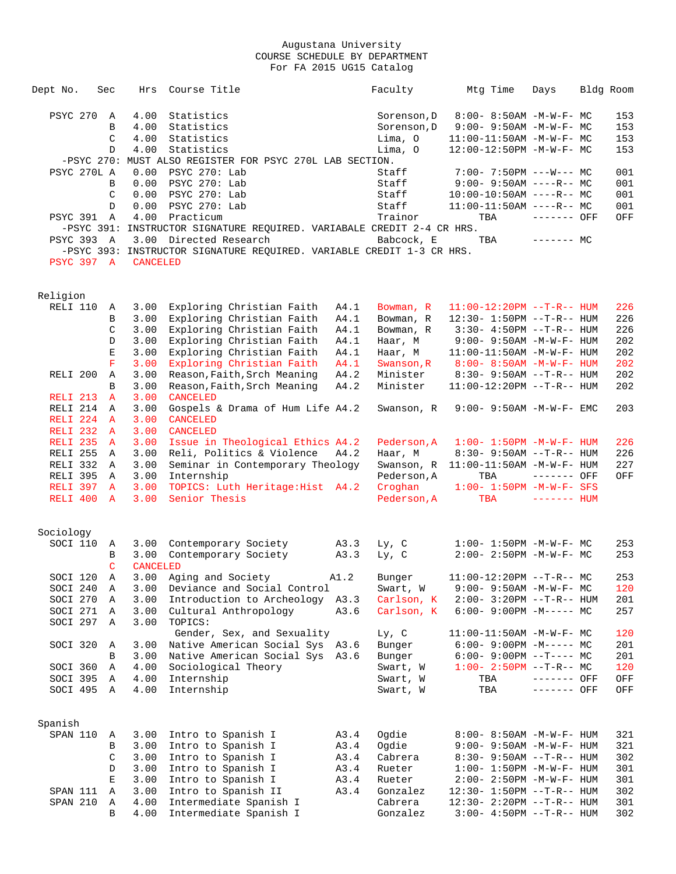| Dept No.             | Sec          | Hrs                     | Course Title                                                           |      | Faculty     | Mtg Time                          | Days         | Bldg Room |
|----------------------|--------------|-------------------------|------------------------------------------------------------------------|------|-------------|-----------------------------------|--------------|-----------|
| PSYC 270             | A            | 4.00                    | Statistics                                                             |      | Sorenson, D | 8:00- 8:50AM -M-W-F- MC           |              | 153       |
|                      | B            | 4.00                    | Statistics                                                             |      | Sorenson, D | $9:00 - 9:50AM - M - W - F - MC$  |              | 153       |
|                      | C            | 4.00                    | Statistics                                                             |      | Lima, O     | $11:00-11:50AM$ -M-W-F- MC        |              | 153       |
|                      | $\mathbb{D}$ | 4.00                    | Statistics                                                             |      | Lima, 0     | $12:00-12:50PM -M-W-F-MC$         |              | 153       |
|                      |              |                         | -PSYC 270: MUST ALSO REGISTER FOR PSYC 270L LAB SECTION.               |      |             |                                   |              |           |
| PSYC 270L A          |              | 0.00                    | PSYC 270: Lab                                                          |      | Staff       | $7:00 - 7:50PM$ ---W--- MC        |              | 001       |
|                      | B            | 0.00                    | PSYC 270: Lab                                                          |      | Staff       | $9:00-9:50AM$ ----R-- MC          |              | 001       |
|                      | C            | 0.00                    | PSYC 270: Lab                                                          |      | Staff       | $10:00-10:50AM$ ----R-- MC        |              | 001       |
|                      | D            | 0.00                    | PSYC 270: Lab                                                          |      | Staff       | $11:00-11:50AM$ ----R-- MC        |              | 001       |
| <b>PSYC 391</b>      | A            | 4.00                    | Practicum                                                              |      | Trainor     | TBA                               | ------- OFF  | OFF       |
|                      |              |                         | -PSYC 391: INSTRUCTOR SIGNATURE REQUIRED. VARIABALE CREDIT 2-4 CR HRS. |      |             |                                   |              |           |
| PSYC 393 A           |              |                         | 3.00 Directed Research                                                 |      | Babcock, E  | TBA                               | $------$ MC  |           |
|                      |              |                         | -PSYC 393: INSTRUCTOR SIGNATURE REQUIRED. VARIABLE CREDIT 1-3 CR HRS.  |      |             |                                   |              |           |
| <b>PSYC 397 A</b>    |              | <b>CANCELED</b>         |                                                                        |      |             |                                   |              |           |
|                      |              |                         |                                                                        |      |             |                                   |              |           |
| Religion<br>RELI 110 | Α            | 3.00                    | Exploring Christian Faith                                              | A4.1 | Bowman, R   | $11:00-12:20PM$ --T-R-- HUM       |              | 226       |
|                      | В            | 3.00                    | Exploring Christian Faith                                              | A4.1 | Bowman, R   | 12:30- 1:50PM --T-R-- HUM         |              | 226       |
|                      | C            | 3.00                    | Exploring Christian Faith                                              | A4.1 | Bowman, R   | $3:30 - 4:50PM -T-R-- HUM$        |              | 226       |
|                      | D            | 3.00                    | Exploring Christian Faith                                              | A4.1 | Haar, M     | 9:00- 9:50AM -M-W-F- HUM          |              | 202       |
|                      | E            | 3.00                    | Exploring Christian Faith                                              | A4.1 | Haar, M     | $11:00-11:50AM$ -M-W-F- HUM       |              | 202       |
|                      | F            | 3.00                    | Exploring Christian Faith                                              | A4.1 | Swanson, R  | $8:00 - 8:50AM - M - W - F - HUM$ |              | 202       |
| RELI <sub>200</sub>  | Α            | 3.00                    | Reason, Faith, Srch Meaning                                            | A4.2 | Minister    | $8:30 - 9:50AM -T-R-- HUM$        |              | 202       |
|                      | B            | 3.00                    | Reason, Faith, Srch Meaning                                            | A4.2 | Minister    | $11:00-12:20PM --T-R--HUM$        |              | 202       |
| RELI <sub>213</sub>  | $\mathbf{A}$ | 3.00                    | <b>CANCELED</b>                                                        |      |             |                                   |              |           |
| RELI 214             | A            | 3.00                    | Gospels & Drama of Hum Life A4.2                                       |      | Swanson, R  | $9:00 - 9:50AM - M-W-F - EMC$     |              | 203       |
| RELI <sub>224</sub>  | A            | 3.00                    | <b>CANCELED</b>                                                        |      |             |                                   |              |           |
| RELI <sub>232</sub>  | A            | 3.00                    | <b>CANCELED</b>                                                        |      |             |                                   |              |           |
| RELI 235             | $\mathbf{A}$ | 3.00                    | Issue in Theological Ethics A4.2                                       |      | Pederson, A | $1:00 - 1:50PM - M - W - F - HUM$ |              | 226       |
| RELI 255             | A            | 3.00                    | Reli, Politics & Violence                                              | A4.2 | Haar, M     | $8:30 - 9:50AM -T-R-- HUM$        |              | 226       |
| RELI 332             | A            | 3.00                    | Seminar in Contemporary Theology                                       |      | Swanson, R  | $11:00-11:50AM - M-W-F- HUM$      |              | 227       |
| RELI 395             | A            | 3.00                    | Internship                                                             |      | Pederson, A | TBA                               | ------- OFF  | OFF       |
| RELI 397             | $\mathbf{A}$ | 3.00                    | TOPICS: Luth Heritage: Hist A4.2                                       |      | Croghan     | $1:00 - 1:50PM - M - W - F - SFS$ |              |           |
| RELI 400             | $\mathbf{A}$ | 3.00                    | Senior Thesis                                                          |      | Pederson, A | TBA                               | $------$ HUM |           |
|                      |              |                         |                                                                        |      |             |                                   |              |           |
| Sociology            |              |                         |                                                                        |      |             |                                   |              |           |
| SOCI 110             | A            |                         | 3.00 Contemporary Society                                              | A3.3 | Ly, C       | $1:00 - 1:50PM - M - W - F - MC$  |              | 253       |
|                      | В<br>C       | 3.00<br><b>CANCELED</b> | Contemporary Society                                                   | A3.3 | Ly, C       | $2:00 - 2:50PM -M-W-F - MC$       |              | 253       |
| SOCI 120             | Α            | 3.00                    | Aging and Society                                                      | A1.2 | Bunger      | $11:00-12:20PM$ --T-R-- MC        |              | 253       |
| SOCI 240             | Α            | 3.00                    | Deviance and Social Control                                            |      | Swart, W    | $9:00 - 9:50AM - M - W - F - MC$  |              | 120       |
| SOCI 270             | Α            | 3.00                    | Introduction to Archeology A3.3                                        |      | Carlson, K  | 2:00- 3:20PM --T-R-- HUM          |              | 201       |
| SOCI 271             | Α            | 3.00                    | Cultural Anthropology                                                  | A3.6 | Carlson, K  | $6:00-9:00PM -M--- MC$            |              | 257       |
| SOCI 297             | Α            | 3.00                    | TOPICS:                                                                |      |             |                                   |              |           |
|                      |              |                         | Gender, Sex, and Sexuality                                             |      | Ly, C       | $11:00-11:50AM$ -M-W-F- MC        |              | 120       |
| SOCI 320             | Α            | 3.00                    | Native American Social Sys A3.6                                        |      | Bunger      | $6:00-9:00PM -M--- MC$            |              | 201       |
|                      | В            | 3.00                    | Native American Social Sys A3.6                                        |      | Bunger      | $6:00-9:00PM --T---MC$            |              | 201       |
| SOCI 360             | Α            | 4.00                    | Sociological Theory                                                    |      | Swart, W    | $1:00-2:50PM -T-R--MC$            |              | 120       |
| SOCI 395             | Α            | 4.00                    | Internship                                                             |      | Swart, W    | TBA                               | ------- OFF  | OFF       |
| SOCI 495 A           |              | 4.00                    | Internship                                                             |      | Swart, W    | TBA                               | ------- OFF  | OFF       |
| Spanish              |              |                         |                                                                        |      |             |                                   |              |           |
| SPAN 110             | Α            | 3.00                    | Intro to Spanish I                                                     | A3.4 | Ogdie       | $8:00 - 8:50AM - M - W - F - HUM$ |              | 321       |
|                      | В            | 3.00                    | Intro to Spanish I                                                     | A3.4 | Ogdie       | 9:00- 9:50AM -M-W-F- HUM          |              | 321       |
|                      | C            | 3.00                    | Intro to Spanish I                                                     | A3.4 | Cabrera     | 8:30- 9:50AM --T-R-- HUM          |              | 302       |
|                      | D            | 3.00                    | Intro to Spanish I                                                     | A3.4 | Rueter      | $1:00 - 1:50PM - M - W - F - HUM$ |              | 301       |
|                      | E            | 3.00                    | Intro to Spanish I                                                     | A3.4 | Rueter      | 2:00- 2:50PM -M-W-F- HUM          |              | 301       |
| SPAN 111             | Α            | 3.00                    | Intro to Spanish II                                                    | A3.4 | Gonzalez    | $12:30 - 1:50PM -T-R--HUM$        |              | 302       |
| SPAN 210             | Α            | 4.00                    | Intermediate Spanish I                                                 |      | Cabrera     | 12:30- 2:20PM --T-R-- HUM         |              | 301       |
|                      | B            | 4.00                    | Intermediate Spanish I                                                 |      | Gonzalez    | $3:00-4:50PM -T-R--HUM$           |              | 302       |